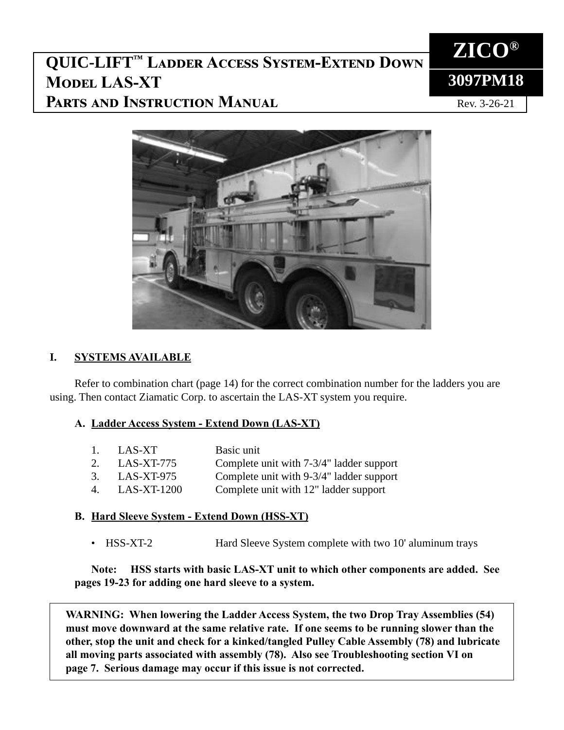# **QUIC-LIFT™ Ladder Access System-Extend Down Model LAS-XT Parts and Instruction Manual**



Rev. 3-26-21



### **I. SYSTEMS AVAILABLE**

Refer to combination chart (page 14) for the correct combination number for the ladders you are using. Then contact Ziamatic Corp. to ascertain the LAS-XT system you require.

### **A. Ladder Access System - Extend Down (LAS-XT)**

|    | 1. LAS-XT     | Basic unit                               |
|----|---------------|------------------------------------------|
|    | 2. LAS-XT-775 | Complete unit with 7-3/4" ladder support |
|    | 3. LAS-XT-975 | Complete unit with 9-3/4" ladder support |
| 4. | $LAS-XT-1200$ | Complete unit with 12" ladder support    |
|    |               |                                          |

### **B. Hard Sleeve System - Extend Down (HSS-XT)**

• HSS-XT-2 Hard Sleeve System complete with two 10' aluminum trays

 **Note: HSS starts with basic LAS-XT unit to which other components are added. See pages 19-23 for adding one hard sleeve to a system.**

**WARNING: When lowering the Ladder Access System, the two Drop Tray Assemblies (54) must move downward at the same relative rate. If one seems to be running slower than the other, stop the unit and check for a kinked/tangled Pulley Cable Assembly (78) and lubricate all moving parts associated with assembly (78). Also see Troubleshooting section VI on page 7. Serious damage may occur if this issue is not corrected.**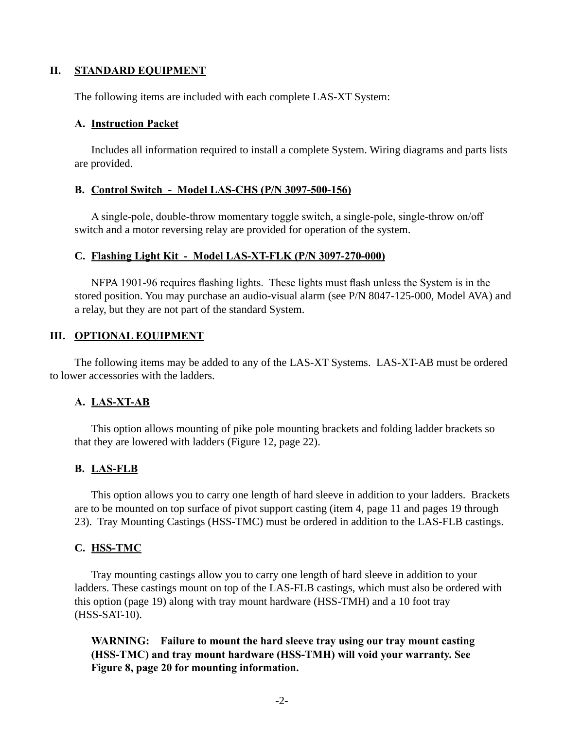#### **II. STANDARD EQUIPMENT**

The following items are included with each complete LAS-XT System:

#### **A. Instruction Packet**

 Includes all information required to install a complete System. Wiring diagrams and parts lists are provided.

#### **B. Control Switch - Model LAS-CHS (P/N 3097-500-156)**

 A single-pole, double-throw momentary toggle switch, a single-pole, single-throw on/off switch and a motor reversing relay are provided for operation of the system.

#### **C. Flashing Light Kit - Model LAS-XT-FLK (P/N 3097-270-000)**

 NFPA 1901-96 requires flashing lights. These lights must flash unless the System is in the stored position. You may purchase an audio-visual alarm (see P/N 8047-125-000, Model AVA) and a relay, but they are not part of the standard System.

#### **III. OPTIONAL EQUIPMENT**

The following items may be added to any of the LAS-XT Systems. LAS-XT-AB must be ordered to lower accessories with the ladders.

#### **A. LAS-XT-AB**

 This option allows mounting of pike pole mounting brackets and folding ladder brackets so that they are lowered with ladders (Figure 12, page 22).

#### **B. LAS-FLB**

 This option allows you to carry one length of hard sleeve in addition to your ladders. Brackets are to be mounted on top surface of pivot support casting (item 4, page 11 and pages 19 through 23). Tray Mounting Castings (HSS-TMC) must be ordered in addition to the LAS-FLB castings.

#### **C. HSS-TMC**

 Tray mounting castings allow you to carry one length of hard sleeve in addition to your ladders. These castings mount on top of the LAS-FLB castings, which must also be ordered with this option (page 19) along with tray mount hardware (HSS-TMH) and a 10 foot tray (HSS-SAT-10).

 **WARNING: Failure to mount the hard sleeve tray using our tray mount casting (HSS-TMC) and tray mount hardware (HSS-TMH) will void your warranty. See Figure 8, page 20 for mounting information.**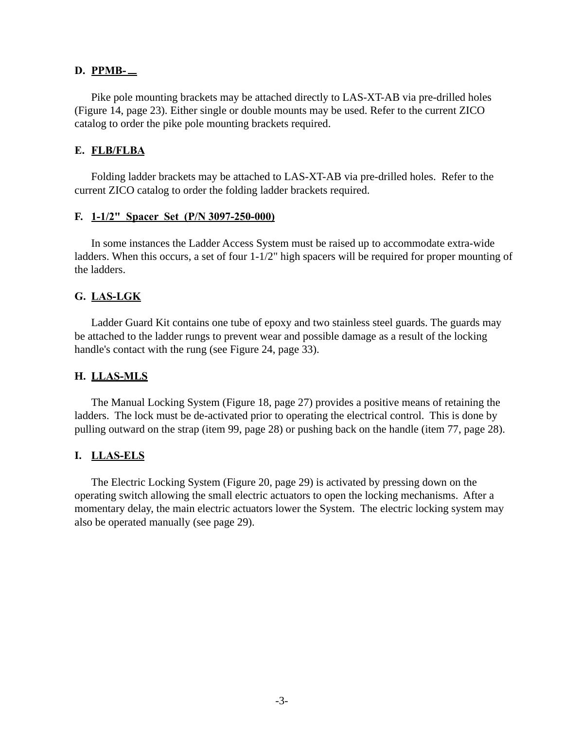#### **D. PPMB-**

 Pike pole mounting brackets may be attached directly to LAS-XT-AB via pre-drilled holes (Figure 14, page 23). Either single or double mounts may be used. Refer to the current ZICO catalog to order the pike pole mounting brackets required.

#### **E. FLB/FLBA**

 Folding ladder brackets may be attached to LAS-XT-AB via pre-drilled holes. Refer to the current ZICO catalog to order the folding ladder brackets required.

#### **F. 1-1/2" Spacer Set (P/N 3097-250-000)**

 In some instances the Ladder Access System must be raised up to accommodate extra-wide ladders. When this occurs, a set of four 1-1/2" high spacers will be required for proper mounting of the ladders.

### **G. LAS-LGK**

 Ladder Guard Kit contains one tube of epoxy and two stainless steel guards. The guards may be attached to the ladder rungs to prevent wear and possible damage as a result of the locking handle's contact with the rung (see Figure 24, page 33).

#### **H. LLAS-MLS**

 The Manual Locking System (Figure 18, page 27) provides a positive means of retaining the ladders. The lock must be de-activated prior to operating the electrical control. This is done by pulling outward on the strap (item 99, page 28) or pushing back on the handle (item 77, page 28).

#### **I. LLAS-ELS**

 The Electric Locking System (Figure 20, page 29) is activated by pressing down on the operating switch allowing the small electric actuators to open the locking mechanisms. After a momentary delay, the main electric actuators lower the System. The electric locking system may also be operated manually (see page 29).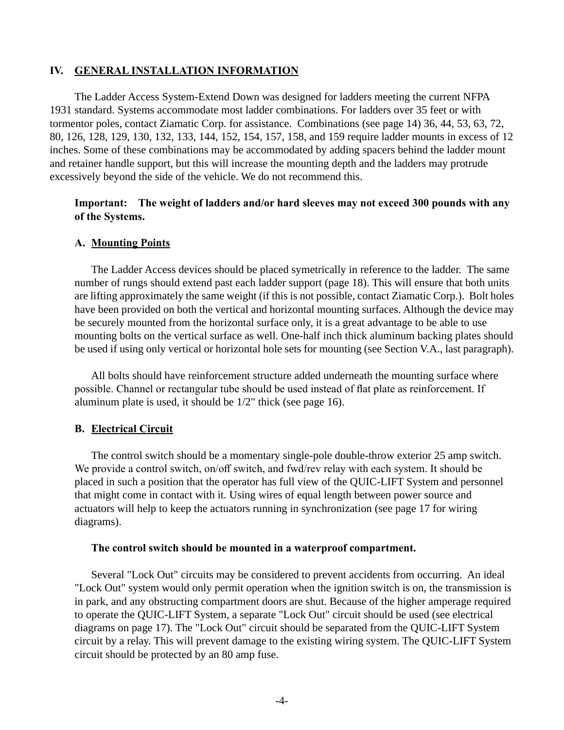#### **IV. GENERAL INSTALLATION INFORMATION**

The Ladder Access System-Extend Down was designed for ladders meeting the current NFPA 1931 standard. Systems accommodate most ladder combinations. For ladders over 35 feet or with tormentor poles, contact Ziamatic Corp. for assistance. Combinations (see page 14) 36, 44, 53, 63, 72, 80, 126, 128, 129, 130, 132, 133, 144, 152, 154, 157, 158, and 159 require ladder mounts in excess of 12 inches. Some of these combinations may be accommodated by adding spacers behind the ladder mount and retainer handle support, but this will increase the mounting depth and the ladders may protrude excessively beyond the side of the vehicle. We do not recommend this.

#### **Important: The weight of ladders and/or hard sleeves may not exceed 300 pounds with any of the Systems.**

#### **A. Mounting Points**

 The Ladder Access devices should be placed symetrically in reference to the ladder. The same number of rungs should extend past each ladder support (page 18). This will ensure that both units are lifting approximately the same weight (if this is not possible, contact Ziamatic Corp.). Bolt holes have been provided on both the vertical and horizontal mounting surfaces. Although the device may be securely mounted from the horizontal surface only, it is a great advantage to be able to use mounting bolts on the vertical surface as well. One-half inch thick aluminum backing plates should be used if using only vertical or horizontal hole sets for mounting (see Section V.A., last paragraph).

 All bolts should have reinforcement structure added underneath the mounting surface where possible. Channel or rectangular tube should be used instead of flat plate as reinforcement. If aluminum plate is used, it should be 1/2" thick (see page 16).

#### **B. Electrical Circuit**

 The control switch should be a momentary single-pole double-throw exterior 25 amp switch. We provide a control switch, on/off switch, and fwd/rev relay with each system. It should be placed in such a position that the operator has full view of the QUIC-LIFT System and personnel that might come in contact with it. Using wires of equal length between power source and actuators will help to keep the actuators running in synchronization (see page 17 for wiring diagrams).

#### **The control switch should be mounted in a waterproof compartment.**

 Several "Lock Out" circuits may be considered to prevent accidents from occurring. An ideal "Lock Out" system would only permit operation when the ignition switch is on, the transmission is in park, and any obstructing compartment doors are shut. Because of the higher amperage required to operate the QUIC-LIFT System, a separate "Lock Out" circuit should be used (see electrical diagrams on page 17). The "Lock Out" circuit should be separated from the QUIC-LIFT System circuit by a relay. This will prevent damage to the existing wiring system. The QUIC-LIFT System circuit should be protected by an 80 amp fuse.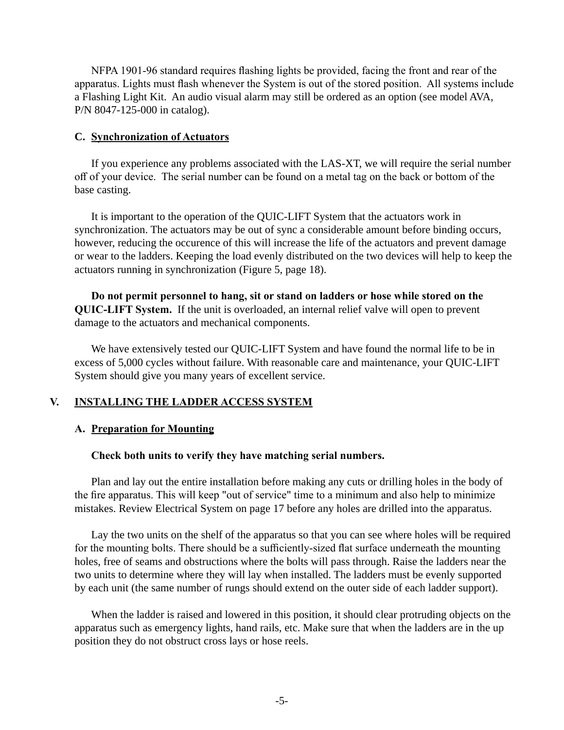NFPA 1901-96 standard requires flashing lights be provided, facing the front and rear of the apparatus. Lights must flash whenever the System is out of the stored position. All systems include a Flashing Light Kit. An audio visual alarm may still be ordered as an option (see model AVA, P/N 8047-125-000 in catalog).

#### **C. Synchronization of Actuators**

 If you experience any problems associated with the LAS-XT, we will require the serial number off of your device. The serial number can be found on a metal tag on the back or bottom of the base casting.

 It is important to the operation of the QUIC-LIFT System that the actuators work in synchronization. The actuators may be out of sync a considerable amount before binding occurs, however, reducing the occurence of this will increase the life of the actuators and prevent damage or wear to the ladders. Keeping the load evenly distributed on the two devices will help to keep the actuators running in synchronization (Figure 5, page 18).

 **Do not permit personnel to hang, sit or stand on ladders or hose while stored on the QUIC-LIFT System.** If the unit is overloaded, an internal relief valve will open to prevent damage to the actuators and mechanical components.

 We have extensively tested our QUIC-LIFT System and have found the normal life to be in excess of 5,000 cycles without failure. With reasonable care and maintenance, your QUIC-LIFT System should give you many years of excellent service.

### **V. INSTALLING THE LADDER ACCESS SYSTEM**

### **A. Preparation for Mounting**

#### **Check both units to verify they have matching serial numbers.**

 Plan and lay out the entire installation before making any cuts or drilling holes in the body of the fire apparatus. This will keep "out of service" time to a minimum and also help to minimize mistakes. Review Electrical System on page 17 before any holes are drilled into the apparatus.

 Lay the two units on the shelf of the apparatus so that you can see where holes will be required for the mounting bolts. There should be a sufficiently-sized flat surface underneath the mounting holes, free of seams and obstructions where the bolts will pass through. Raise the ladders near the two units to determine where they will lay when installed. The ladders must be evenly supported by each unit (the same number of rungs should extend on the outer side of each ladder support).

 When the ladder is raised and lowered in this position, it should clear protruding objects on the apparatus such as emergency lights, hand rails, etc. Make sure that when the ladders are in the up position they do not obstruct cross lays or hose reels.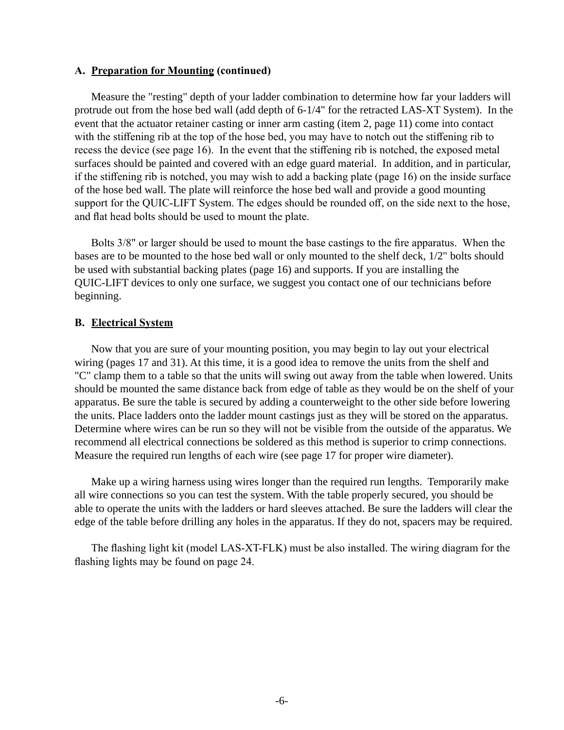#### **A. Preparation for Mounting (continued)**

 Measure the "resting" depth of your ladder combination to determine how far your ladders will protrude out from the hose bed wall (add depth of 6-1/4" for the retracted LAS-XT System). In the event that the actuator retainer casting or inner arm casting (item 2, page 11) come into contact with the stiffening rib at the top of the hose bed, you may have to notch out the stiffening rib to recess the device (see page 16). In the event that the stiffening rib is notched, the exposed metal surfaces should be painted and covered with an edge guard material. In addition, and in particular, if the stiffening rib is notched, you may wish to add a backing plate (page 16) on the inside surface of the hose bed wall. The plate will reinforce the hose bed wall and provide a good mounting support for the QUIC-LIFT System. The edges should be rounded off, on the side next to the hose, and flat head bolts should be used to mount the plate.

 Bolts 3/8" or larger should be used to mount the base castings to the fire apparatus. When the bases are to be mounted to the hose bed wall or only mounted to the shelf deck, 1/2" bolts should be used with substantial backing plates (page 16) and supports. If you are installing the QUIC-LIFT devices to only one surface, we suggest you contact one of our technicians before beginning.

#### **B. Electrical System**

 Now that you are sure of your mounting position, you may begin to lay out your electrical wiring (pages 17 and 31). At this time, it is a good idea to remove the units from the shelf and "C" clamp them to a table so that the units will swing out away from the table when lowered. Units should be mounted the same distance back from edge of table as they would be on the shelf of your apparatus. Be sure the table is secured by adding a counterweight to the other side before lowering the units. Place ladders onto the ladder mount castings just as they will be stored on the apparatus. Determine where wires can be run so they will not be visible from the outside of the apparatus. We recommend all electrical connections be soldered as this method is superior to crimp connections. Measure the required run lengths of each wire (see page 17 for proper wire diameter).

 Make up a wiring harness using wires longer than the required run lengths. Temporarily make all wire connections so you can test the system. With the table properly secured, you should be able to operate the units with the ladders or hard sleeves attached. Be sure the ladders will clear the edge of the table before drilling any holes in the apparatus. If they do not, spacers may be required.

 The flashing light kit (model LAS-XT-FLK) must be also installed. The wiring diagram for the flashing lights may be found on page 24.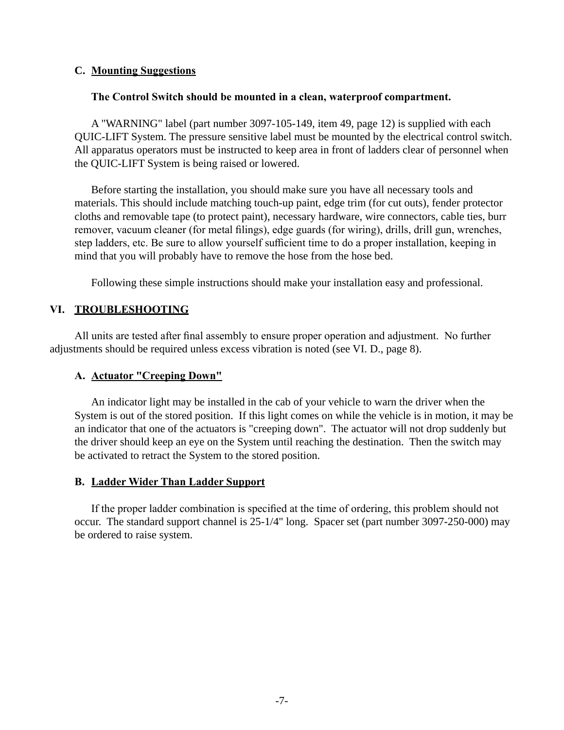### **C. Mounting Suggestions**

#### **The Control Switch should be mounted in a clean, waterproof compartment.**

 A "WARNING" label (part number 3097-105-149, item 49, page 12) is supplied with each QUIC-LIFT System. The pressure sensitive label must be mounted by the electrical control switch. All apparatus operators must be instructed to keep area in front of ladders clear of personnel when the QUIC-LIFT System is being raised or lowered.

 Before starting the installation, you should make sure you have all necessary tools and materials. This should include matching touch-up paint, edge trim (for cut outs), fender protector cloths and removable tape (to protect paint), necessary hardware, wire connectors, cable ties, burr remover, vacuum cleaner (for metal filings), edge guards (for wiring), drills, drill gun, wrenches, step ladders, etc. Be sure to allow yourself sufficient time to do a proper installation, keeping in mind that you will probably have to remove the hose from the hose bed.

Following these simple instructions should make your installation easy and professional.

### **VI. TROUBLESHOOTING**

 All units are tested after final assembly to ensure proper operation and adjustment. No further adjustments should be required unless excess vibration is noted (see VI. D., page 8).

#### **A. Actuator "Creeping Down"**

 An indicator light may be installed in the cab of your vehicle to warn the driver when the System is out of the stored position. If this light comes on while the vehicle is in motion, it may be an indicator that one of the actuators is "creeping down". The actuator will not drop suddenly but the driver should keep an eye on the System until reaching the destination. Then the switch may be activated to retract the System to the stored position.

#### **B. Ladder Wider Than Ladder Support**

 If the proper ladder combination is specified at the time of ordering, this problem should not occur. The standard support channel is 25-1/4" long. Spacer set (part number 3097-250-000) may be ordered to raise system.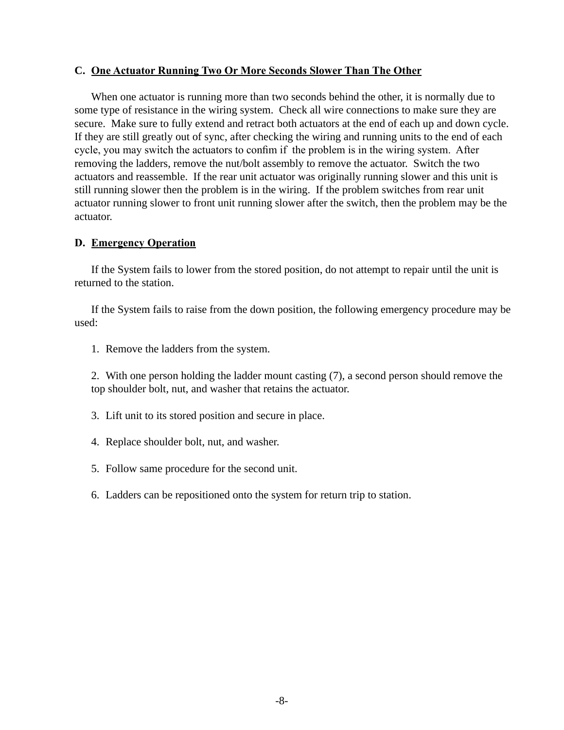#### **C. One Actuator Running Two Or More Seconds Slower Than The Other**

 When one actuator is running more than two seconds behind the other, it is normally due to some type of resistance in the wiring system. Check all wire connections to make sure they are secure. Make sure to fully extend and retract both actuators at the end of each up and down cycle. If they are still greatly out of sync, after checking the wiring and running units to the end of each cycle, you may switch the actuators to confim if the problem is in the wiring system. After removing the ladders, remove the nut/bolt assembly to remove the actuator. Switch the two actuators and reassemble. If the rear unit actuator was originally running slower and this unit is still running slower then the problem is in the wiring. If the problem switches from rear unit actuator running slower to front unit running slower after the switch, then the problem may be the actuator.

#### **D. Emergency Operation**

 If the System fails to lower from the stored position, do not attempt to repair until the unit is returned to the station.

 If the System fails to raise from the down position, the following emergency procedure may be used:

1. Remove the ladders from the system.

 2. With one person holding the ladder mount casting (7), a second person should remove the top shoulder bolt, nut, and washer that retains the actuator.

- 3. Lift unit to its stored position and secure in place.
- 4. Replace shoulder bolt, nut, and washer.
- 5. Follow same procedure for the second unit.
- 6. Ladders can be repositioned onto the system for return trip to station.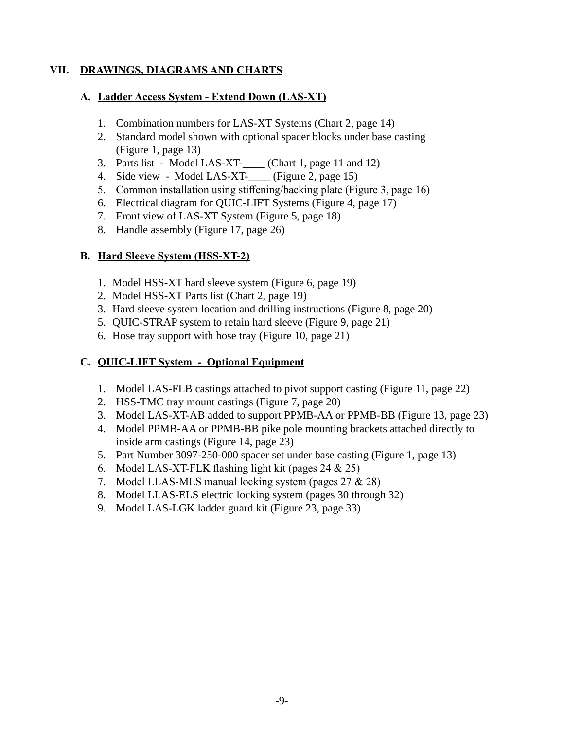### **VII. DRAWINGS, DIAGRAMS AND CHARTS**

### **A. Ladder Access System - Extend Down (LAS-XT)**

- 1. Combination numbers for LAS-XT Systems (Chart 2, page 14)
- 2. Standard model shown with optional spacer blocks under base casting (Figure 1, page 13)
- 3. Parts list Model LAS-XT-\_\_\_\_ (Chart 1, page 11 and 12)
- 4. Side view Model LAS-XT-\_\_\_\_ (Figure 2, page 15)
- 5. Common installation using stiffening/backing plate (Figure 3, page 16)
- 6. Electrical diagram for QUIC-LIFT Systems (Figure 4, page 17)
- 7. Front view of LAS-XT System (Figure 5, page 18)
- 8. Handle assembly (Figure 17, page 26)

### **B. Hard Sleeve System (HSS-XT-2)**

- 1. Model HSS-XT hard sleeve system (Figure 6, page 19)
- 2. Model HSS-XT Parts list (Chart 2, page 19)
- 3. Hard sleeve system location and drilling instructions (Figure 8, page 20)
- 5. QUIC-STRAP system to retain hard sleeve (Figure 9, page 21)
- 6. Hose tray support with hose tray (Figure 10, page 21)

### **C. QUIC-LIFT System - Optional Equipment**

- 1. Model LAS-FLB castings attached to pivot support casting (Figure 11, page 22)
- 2. HSS-TMC tray mount castings (Figure 7, page 20)
- 3. Model LAS-XT-AB added to support PPMB-AA or PPMB-BB (Figure 13, page 23)
- 4. Model PPMB-AA or PPMB-BB pike pole mounting brackets attached directly to inside arm castings (Figure 14, page 23)
- 5. Part Number 3097-250-000 spacer set under base casting (Figure 1, page 13)
- 6. Model LAS-XT-FLK flashing light kit (pages  $24 \& 25$ )
- 7. Model LLAS-MLS manual locking system (pages  $27 \& 28$ )
- 8. Model LLAS-ELS electric locking system (pages 30 through 32)
- 9. Model LAS-LGK ladder guard kit (Figure 23, page 33)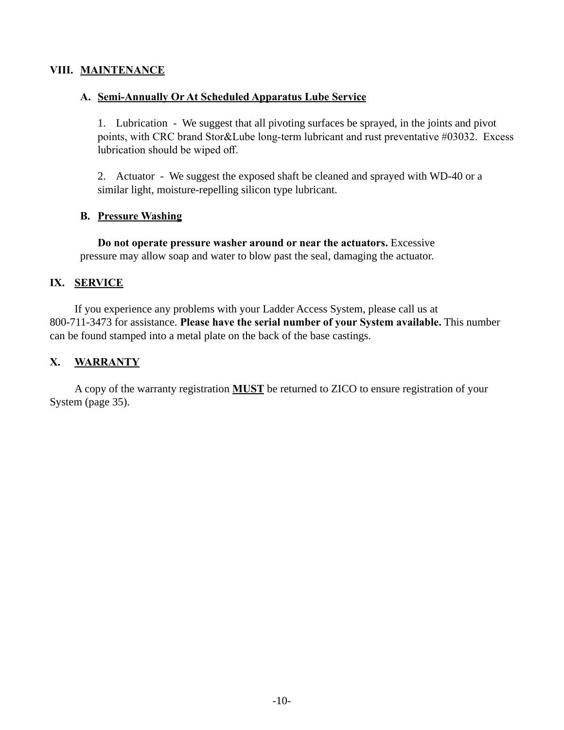### **VIII. MAINTENANCE**

#### **A. Semi-Annually Or At Scheduled Apparatus Lube Service**

 1. Lubrication - We suggest that all pivoting surfaces be sprayed, in the joints and pivot points, with CRC brand Stor&Lube long-term lubricant and rust preventative #03032. Excess lubrication should be wiped off.

 2. Actuator - We suggest the exposed shaft be cleaned and sprayed with WD-40 or a similar light, moisture-repelling silicon type lubricant.

### **B. Pressure Washing**

 **Do not operate pressure washer around or near the actuators.** Excessive pressure may allow soap and water to blow past the seal, damaging the actuator.

### **IX. SERVICE**

If you experience any problems with your Ladder Access System, please call us at 800-711-3473 for assistance. **Please have the serial number of your System available.** This number can be found stamped into a metal plate on the back of the base castings.

### **X. WARRANTY**

A copy of the warranty registration **MUST** be returned to ZICO to ensure registration of your System (page 35).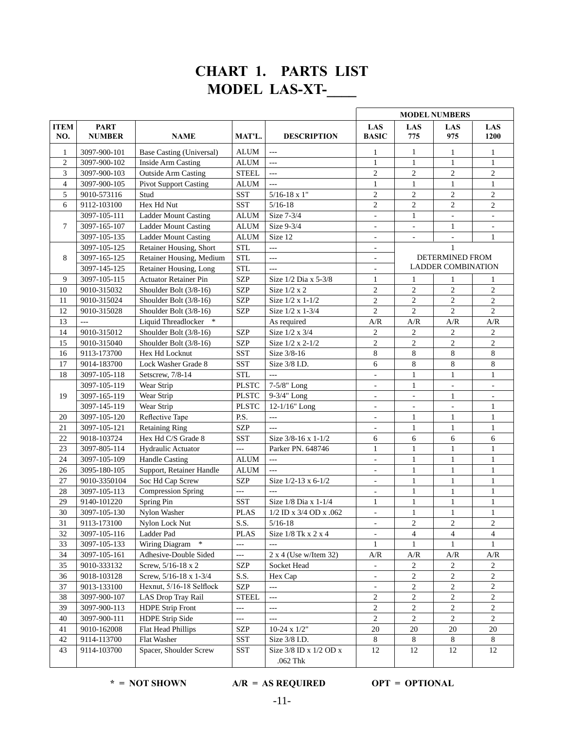# **CHART 1. PARTS LIST MODEL LAS-XT-\_\_\_\_**

| <b>ITEM</b><br>NO. | <b>PART</b><br><b>NUMBER</b> | <b>NAME</b>                  | MAT'L.         | <b>DESCRIPTION</b>                 | LAS<br><b>BASIC</b>      | LAS<br>775                                                      | LAS<br>975                | LAS<br>1200                                                     |
|--------------------|------------------------------|------------------------------|----------------|------------------------------------|--------------------------|-----------------------------------------------------------------|---------------------------|-----------------------------------------------------------------|
| 1                  | 3097-900-101                 | Base Casting (Universal)     | <b>ALUM</b>    | $\cdots$                           | 1                        | 1                                                               | 1                         | $\mathbf{1}$                                                    |
| $\overline{c}$     | 3097-900-102                 | <b>Inside Arm Casting</b>    | ALUM           | $---$                              | $\mathbf{1}$             | $\mathbf{1}$                                                    | $\mathbf{1}$              | $\mathbf{1}$                                                    |
| 3                  | 3097-900-103                 | <b>Outside Arm Casting</b>   | <b>STEEL</b>   | $\overline{a}$                     | $\overline{c}$           | $\overline{2}$                                                  | $\overline{c}$            | $\overline{c}$                                                  |
| $\overline{4}$     | 3097-900-105                 | <b>Pivot Support Casting</b> | <b>ALUM</b>    | ---                                | $\mathbf{1}$             | $\mathbf{1}$                                                    | $\mathbf{1}$              | $\mathbf{1}$                                                    |
| 5                  | 9010-573116                  | Stud                         | <b>SST</b>     | $5/16 - 18$ x 1"                   | $\overline{2}$           | $\overline{2}$                                                  | $\overline{c}$            | $\overline{c}$                                                  |
| 6                  | 9112-103100                  | Hex Hd Nut                   | <b>SST</b>     | $5/16 - 18$                        | $\overline{2}$           | $\mathfrak{2}$                                                  | $\overline{c}$            | $\overline{c}$                                                  |
|                    | 3097-105-111                 | <b>Ladder Mount Casting</b>  | <b>ALUM</b>    | Size 7-3/4                         | $\blacksquare$           | $\mathbf{1}$                                                    | $\mathbb{L}$              |                                                                 |
| $\overline{7}$     | 3097-165-107                 | <b>Ladder Mount Casting</b>  | <b>ALUM</b>    | Size 9-3/4                         | $\bar{a}$                | $\sim$                                                          | $\mathbf{1}$              | $\mathbf{r}$                                                    |
|                    | 3097-105-135                 | <b>Ladder Mount Casting</b>  | <b>ALUM</b>    | Size 12                            | $\overline{\phantom{a}}$ | $\overline{\phantom{a}}$                                        | $\overline{\phantom{a}}$  | $\mathbf{1}$                                                    |
|                    | 3097-105-125                 | Retainer Housing, Short      | <b>STL</b>     | $---$                              | $\overline{\phantom{a}}$ |                                                                 | $\mathbf{1}$              |                                                                 |
| 8                  | 3097-165-125                 | Retainer Housing, Medium     | <b>STL</b>     | $---$                              | ٠                        |                                                                 | DETERMINED FROM           |                                                                 |
|                    | 3097-145-125                 | Retainer Housing, Long       | <b>STL</b>     | $---$                              | $\overline{\phantom{a}}$ |                                                                 | <b>LADDER COMBINATION</b> |                                                                 |
| 9                  | 3097-105-115                 | <b>Actuator Retainer Pin</b> | <b>SZP</b>     | Size 1/2 Dia x 5-3/8               | 1                        | 1                                                               | 1                         | 1                                                               |
| 10                 | 9010-315032                  | Shoulder Bolt (3/8-16)       | <b>SZP</b>     | Size $1/2 \times 2$                | $\mathfrak{2}$           | $\overline{2}$                                                  | $\overline{c}$            | $\overline{c}$                                                  |
| 11                 | 9010-315024                  | Shoulder Bolt (3/8-16)       | <b>SZP</b>     | Size 1/2 x 1-1/2                   | $\overline{2}$           | $\overline{2}$                                                  | $\overline{c}$            | $\overline{c}$                                                  |
| 12                 | 9010-315028                  | Shoulder Bolt (3/8-16)       | <b>SZP</b>     | Size 1/2 x 1-3/4                   | $\overline{2}$           | $\overline{2}$                                                  | $\overline{c}$            | $\overline{c}$                                                  |
| 13                 | $\overline{a}$               | Liquid Threadlocker *        |                | As required                        | A/R                      | $\ensuremath{\mathrm{A}}\xspace/\ensuremath{\mathrm{R}}\xspace$ | A/R                       | $\ensuremath{\mathrm{A}}\xspace/\ensuremath{\mathrm{R}}\xspace$ |
| 14                 | 9010-315012                  | Shoulder Bolt (3/8-16)       | <b>SZP</b>     | Size 1/2 x 3/4                     | $\sqrt{2}$               | $\overline{c}$                                                  | $\boldsymbol{2}$          | 2                                                               |
| 15                 | 9010-315040                  | Shoulder Bolt $(3/8-16)$     | <b>SZP</b>     | Size 1/2 x 2-1/2                   | $\overline{2}$           | $\overline{c}$                                                  | $\overline{c}$            | $\overline{c}$                                                  |
| 16                 | 9113-173700                  | Hex Hd Locknut               | <b>SST</b>     | Size 3/8-16                        | 8                        | 8                                                               | 8                         | 8                                                               |
| 17                 | 9014-183700                  | Lock Washer Grade 8          | <b>SST</b>     | Size 3/8 I.D.                      | 6                        | 8                                                               | 8                         | 8                                                               |
| 18                 | 3097-105-118                 | Setscrew, 7/8-14             | <b>STL</b>     | <u>.</u>                           | $\overline{\phantom{a}}$ | $\mathbf{1}$                                                    | $\mathbf{1}$              | $\mathbf{1}$                                                    |
|                    | 3097-105-119                 | Wear Strip                   | <b>PLSTC</b>   | 7-5/8" Long                        | $\overline{\phantom{a}}$ | $\mathbf{1}$                                                    | $\overline{\phantom{a}}$  | $\overline{\phantom{a}}$                                        |
| 19                 | 3097-165-119                 | Wear Strip                   | <b>PLSTC</b>   | 9-3/4" Long                        | $\overline{\phantom{a}}$ | $\qquad \qquad \blacksquare$                                    | $\mathbf{1}$              |                                                                 |
|                    | 3097-145-119                 | Wear Strip                   | <b>PLSTC</b>   | $12-1/16"$ Long                    | $\overline{\phantom{a}}$ | $\sim$                                                          | $\bar{a}$                 | $\mathbf{1}$                                                    |
| 20                 | 3097-105-120                 | Reflective Tape              | P.S.           | $\overline{a}$                     | ÷,                       | $\mathbf{1}$                                                    | $\mathbf{1}$              | $\mathbf{1}$                                                    |
| 21                 | 3097-105-121                 | <b>Retaining Ring</b>        | <b>SZP</b>     | $---$                              | $\overline{\phantom{a}}$ | $\mathbf{1}$                                                    | $\mathbf{1}$              | $\mathbf{1}$                                                    |
| 22                 | 9018-103724                  | Hex Hd C/S Grade 8           | <b>SST</b>     | Size 3/8-16 x 1-1/2                | 6                        | 6                                                               | 6                         | 6                                                               |
| 23                 | 3097-805-114                 | Hydraulic Actuator           | $\overline{a}$ | Parker PN. 648746                  | $\mathbf{1}$             | $\mathbf{1}$                                                    | $\mathbf{1}$              | $\mathbf{1}$                                                    |
| 24                 | 3097-105-109                 | <b>Handle Casting</b>        | <b>ALUM</b>    | $\overline{\phantom{a}}$           | ÷,                       | $\mathbf{1}$                                                    | $\mathbf{1}$              | $\mathbf{1}$                                                    |
| 26                 | 3095-180-105                 | Support, Retainer Handle     | <b>ALUM</b>    | ---                                | $\overline{\phantom{a}}$ | $\mathbf{1}$                                                    | $\mathbf{1}$              | $\mathbf{1}$                                                    |
| 27                 | 9010-3350104                 | Soc Hd Cap Screw             | <b>SZP</b>     | Size 1/2-13 x 6-1/2                | $\overline{\phantom{a}}$ | $\mathbf{1}$                                                    | $\mathbf{1}$              | $\mathbf{1}$                                                    |
| 28                 | 3097-105-113                 | <b>Compression Spring</b>    | $\overline{a}$ | $\sim$                             | $\overline{\phantom{a}}$ | $\mathbf{1}$                                                    | $\mathbf{1}$              | $\mathbf{1}$                                                    |
| 29                 | 9140-101220                  | Spring Pin                   | <b>SST</b>     | Size 1/8 Dia x 1-1/4               | 1                        | $\mathbf{1}$                                                    | $\mathbf{1}$              | $\mathbf{1}$                                                    |
| 30                 | 3097-105-130                 | Nylon Washer                 | <b>PLAS</b>    | 1/2 ID x 3/4 OD x .062             | $\overline{\phantom{a}}$ | 1                                                               | $\mathbf{1}$              | $\mathbf{1}$                                                    |
| 31                 | 9113-173100                  | Nylon Lock Nut               | S.S.           | $5/16-18$                          | $\overline{\phantom{a}}$ | 2                                                               | 2                         | 2                                                               |
| 32                 | 3097-105-116                 | Ladder Pad                   | <b>PLAS</b>    | Size $1/8$ Tk x 2 x 4              | $\overline{\phantom{0}}$ | $\overline{4}$                                                  | $\overline{4}$            | 4                                                               |
| 33                 | 3097-105-133                 | $\ast$<br>Wiring Diagram     | $\overline{a}$ | $---$                              | 1                        | 1                                                               | $\mathbf{1}$              | 1                                                               |
| 34                 | 3097-105-161                 | Adhesive-Double Sided        | $  \sim$       | $2 x 4$ (Use w/Item 32)            | A/R                      | A/R                                                             | A/R                       | A/R                                                             |
| 35                 | 9010-333132                  | Screw, 5/16-18 x 2           | <b>SZP</b>     | Socket Head                        | $\overline{\phantom{a}}$ | 2                                                               | 2                         | 2                                                               |
| 36                 | 9018-103128                  | Screw, 5/16-18 x 1-3/4       | S.S.           | Hex Cap                            |                          | $\overline{2}$                                                  | $\overline{c}$            | $\overline{2}$                                                  |
| 37                 | 9013-133100                  | Hexnut, 5/16-18 Selflock     | SZP            | $\overline{\phantom{a}}$           |                          | $\overline{c}$                                                  | $\overline{c}$            | $\overline{c}$                                                  |
| 38                 | 3097-900-107                 | LAS Drop Tray Rail           | <b>STEEL</b>   | $\overline{\phantom{a}}$           | $\overline{c}$           | $\overline{c}$                                                  | $\overline{c}$            | $\overline{c}$                                                  |
| 39                 | 3097-900-113                 | <b>HDPE Strip Front</b>      | ---            | $\scriptstyle \cdots$ .            | 2                        | $\overline{c}$                                                  | $\overline{c}$            | $\overline{2}$                                                  |
| 40                 | 3097-900-111                 | HDPE Strip Side              | $\overline{a}$ | $---$                              | 2                        | $\overline{2}$                                                  | $\overline{2}$            | $\overline{2}$                                                  |
| 41                 | 9010-162008                  | Flat Head Phillips           | SZP            | $10-24 \times 1/2$ "               | 20                       | 20                                                              | 20                        | 20                                                              |
| 42                 | 9114-113700                  | Flat Washer                  | SST            | Size 3/8 I.D.                      | 8                        | 8                                                               | 8                         | 8                                                               |
| 43                 | 9114-103700                  | Spacer, Shoulder Screw       | SST            | Size 3/8 ID x 1/2 OD x<br>.062 Thk | 12                       | 12                                                              | 12                        | 12                                                              |

### $*$  **= NOT SHOWN**  $A/R$  **= AS REQUIRED OPT = OPTIONAL**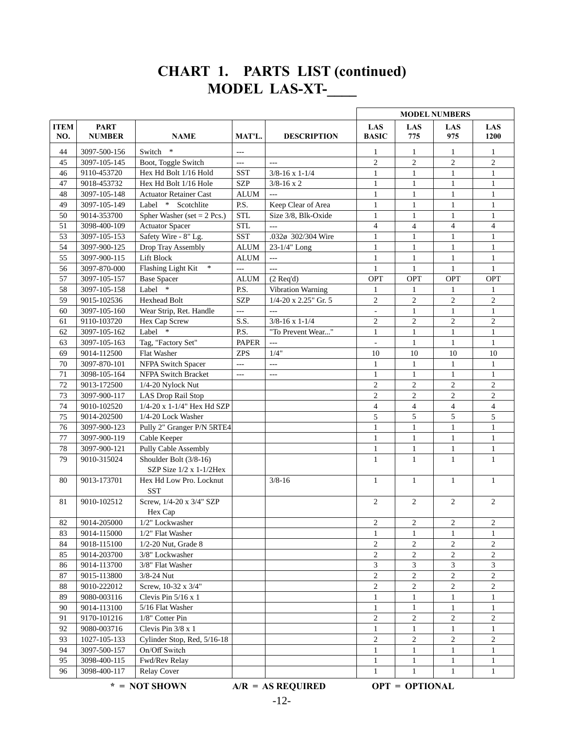# **CHART 1. PARTS LIST (continued) MODEL LAS-XT-\_\_\_\_**

|                    |                              |                                       |                |                           | <b>MODEL NUMBERS</b>       |                       |                |                          |  |
|--------------------|------------------------------|---------------------------------------|----------------|---------------------------|----------------------------|-----------------------|----------------|--------------------------|--|
| <b>ITEM</b><br>NO. | <b>PART</b><br><b>NUMBER</b> | <b>NAME</b>                           | MAT'L.         | <b>DESCRIPTION</b>        | <b>LAS</b><br><b>BASIC</b> | <b>LAS</b><br>775     | LAS<br>975     | LAS<br>1200              |  |
| 44                 | 3097-500-156                 | $\ast$<br>Switch                      | $---$          |                           | 1                          | 1                     | 1              | $\mathbf{1}$             |  |
| 45                 | 3097-105-145                 | Boot, Toggle Switch                   | $\overline{a}$ | $\sim$                    | $\overline{c}$             | $\overline{2}$        | $\overline{c}$ | $\boldsymbol{2}$         |  |
| 46                 | 9110-453720                  | Hex Hd Bolt 1/16 Hold                 | <b>SST</b>     | $3/8 - 16 \times 1 - 1/4$ | $\mathbf{1}$               | 1                     | $\mathbf{1}$   | $\mathbf{1}$             |  |
| 47                 | 9018-453732                  | Hex Hd Bolt 1/16 Hole                 | <b>SZP</b>     | $3/8 - 16 \times 2$       | $\mathbf{1}$               | $\mathbf{1}$          | $\mathbf{1}$   | $\mathbf{1}$             |  |
| 48                 | 3097-105-148                 | <b>Actuator Retainer Cast</b>         | <b>ALUM</b>    | $\overline{a}$            | $\mathbf{1}$               | $\mathbf{1}$          | $\mathbf{1}$   | $\mathbf{1}$             |  |
| 49                 | 3097-105-149                 | Label *<br>Scotchlite                 | P.S.           | Keep Clear of Area        | $\mathbf{1}$               | $\mathbf{1}$          | $\mathbf{1}$   | $\mathbf{1}$             |  |
| 50                 | 9014-353700                  | Spher Washer (set $= 2$ Pcs.)         | <b>STL</b>     | Size 3/8, Blk-Oxide       | $\mathbf{1}$               | $\mathbf{1}$          | $\mathbf{1}$   | $\mathbf{1}$             |  |
| 51                 | 3098-400-109                 | <b>Actuator Spacer</b>                | <b>STL</b>     | $\cdots$                  | $\overline{4}$             | $\overline{4}$        | $\overline{4}$ | $\overline{\mathcal{L}}$ |  |
| 53                 | 3097-105-153                 | Safety Wire - 8" Lg.                  | <b>SST</b>     | .032ø 302/304 Wire        | $\mathbf{1}$               | $\mathbf{1}$          | $\mathbf{1}$   | $\mathbf{1}$             |  |
| 54                 | 3097-900-125                 | Drop Tray Assembly                    | <b>ALUM</b>    | 23-1/4" Long              | $\mathbf{1}$               | $\mathbf{1}$          | $\mathbf{1}$   | $\mathbf{1}$             |  |
| 55                 | 3097-900-115                 | Lift Block                            | ALUM           | $\ldots$ .                | $\mathbf{1}$               | $\mathbf{1}$          | $\mathbf{1}$   | $\mathbf{1}$             |  |
| 56                 | 3097-870-000                 | Flashing Light Kit<br>$\ast$          | $\overline{a}$ | $\cdots$                  | $\mathbf{1}$               | $\mathbf{1}$          | $\mathbf{1}$   | $\mathbf{1}$             |  |
| 57                 | 3097-105-157                 | <b>Base Spacer</b>                    | <b>ALUM</b>    | $(2$ Req'd)               | <b>OPT</b>                 | <b>OPT</b>            | <b>OPT</b>     | OPT                      |  |
| 58                 | 3097-105-158                 | Label *                               | P.S.           | Vibration Warning         | 1                          | 1                     | 1              | 1                        |  |
| 59                 | 9015-102536                  | <b>Hexhead Bolt</b>                   | <b>SZP</b>     | $1/4 - 20$ x 2.25" Gr. 5  | $\overline{c}$             | $\overline{c}$        | $\overline{c}$ | $\boldsymbol{2}$         |  |
| 60                 | 3097-105-160                 | Wear Strip, Ret. Handle               | $ -$           | $---$                     | $\overline{\phantom{a}}$   | $\mathbf{1}$          | $\mathbf{1}$   | $\mathbf{1}$             |  |
| 61                 | 9110-103720                  | Hex Cap Screw                         | S.S.           | $3/8 - 16 \times 1 - 1/4$ | $\overline{2}$             | $\overline{2}$        | $\overline{c}$ | $\overline{c}$           |  |
| 62                 | 3097-105-162                 | Label *                               | P.S.           | "To Prevent Wear"         | $\mathbf{1}$               | $\mathbf{1}$          | $\mathbf{1}$   | $\mathbf{1}$             |  |
| 63                 | 3097-105-163                 | Tag, "Factory Set"                    | <b>PAPER</b>   | $---$                     | ä,                         | $\mathbf{1}$          | $\mathbf{1}$   | $\mathbf{1}$             |  |
| 69                 | 9014-112500                  | Flat Washer                           | <b>ZPS</b>     | 1/4"                      | 10                         | 10                    | 10             | 10                       |  |
| 70                 | 3097-870-101                 | NFPA Switch Spacer                    | $-$            | $\ldots$ .                | $\mathbf{1}$               | $\mathbf{1}$          | $\mathbf{1}$   | $\mathbf{1}$             |  |
| 71                 | 3098-105-164                 | NFPA Switch Bracket                   | $-$            | $\overline{a}$            | $\mathbf{1}$               | $\mathbf{1}$          | $\mathbf{1}$   | $\mathbf{1}$             |  |
| 72                 | 9013-172500                  | $1/4-20$ Nylock Nut                   |                |                           | $\mathfrak{2}$             | $\overline{c}$        | $\overline{c}$ | $\overline{c}$           |  |
| 73                 | 3097-900-117                 | LAS Drop Rail Stop                    |                |                           | $\overline{c}$             | $\overline{c}$        | $\overline{c}$ | 2                        |  |
| 74                 | 9010-102520                  | 1/4-20 x 1-1/4" Hex Hd SZP            |                |                           | $\overline{4}$             | $\overline{4}$        | 4              | 4                        |  |
| 75                 | 9014-202500                  | 1/4-20 Lock Washer                    |                |                           | 5                          | 5                     | 5              | 5                        |  |
| 76                 | 3097-900-123                 | Pully 2" Granger P/N 5RTE4            |                |                           | $\mathbf{1}$               | $\mathbf{1}$          | $\mathbf{1}$   | $\mathbf{1}$             |  |
| 77                 | 3097-900-119                 | Cable Keeper                          |                |                           | $\mathbf{1}$               | $\mathbf{1}$          | $\mathbf{1}$   | $\mathbf{1}$             |  |
| 78                 | 3097-900-121                 | Pully Cable Assembly                  |                |                           | $\mathbf{1}$               | $\mathbf{1}$          | $\mathbf{1}$   | $\mathbf{1}$             |  |
| 79                 | 9010-315024                  | Shoulder Bolt (3/8-16)                |                |                           | $\mathbf{1}$               | $\mathbf{1}$          | $\mathbf{1}$   | $\mathbf{1}$             |  |
|                    |                              | SZP Size $1/2$ x 1-1/2Hex             |                |                           |                            |                       |                |                          |  |
| 80                 | 9013-173701                  | Hex Hd Low Pro. Locknut<br><b>SST</b> |                | $3/8 - 16$                | $\mathbf{1}$               | $\mathbf{1}$          | $\mathbf{1}$   | $\mathbf{1}$             |  |
| 81                 | 9010-102512                  | Screw, 1/4-20 x 3/4" SZP              |                |                           | $\overline{2}$             | $\overline{2}$        | $\overline{2}$ | $\overline{2}$           |  |
|                    |                              | Hex Cap                               |                |                           |                            |                       |                |                          |  |
| 82                 | 9014-205000                  | 1/2" Lockwasher                       |                |                           | $\overline{c}$             | $\overline{c}$        | 2              | 2                        |  |
| 83                 | 9014-115000                  | 1/2" Flat Washer                      |                |                           | $\mathbf{1}$               | $\mathbf{1}$          | $\mathbf{1}$   | $\mathbf{1}$             |  |
| 84                 | 9018-115100                  | $1/2-20$ Nut, Grade 8                 |                |                           | 2                          | 2                     | 2              | 2                        |  |
| 85                 | 9014-203700                  | 3/8" Lockwasher                       |                |                           | $\mathfrak{2}$             | $\overline{c}$        | $\overline{c}$ | $\overline{c}$           |  |
| 86                 | 9014-113700                  | 3/8" Flat Washer                      |                |                           | $\mathfrak{Z}$             | 3                     | 3              | 3                        |  |
| 87                 | 9015-113800                  | $3/8 - 24$ Nut                        |                |                           | $\overline{2}$             | $\overline{c}$        | $\overline{c}$ | $\overline{2}$           |  |
| 88                 | 9010-222012                  | Screw, 10-32 x 3/4"                   |                |                           | $\mathfrak{2}$             | $\overline{c}$        | $\overline{c}$ | $\overline{c}$           |  |
| 89                 | 9080-003116                  | Clevis Pin $5/16 \times 1$            |                |                           | $\mathbf{1}$               | $\mathbf{1}$          | $\mathbf{1}$   | $\mathbf{1}$             |  |
| 90                 | 9014-113100                  | 5/16 Flat Washer                      |                |                           | 1                          | $\mathbf{1}$          | $\mathbf{1}$   | $\mathbf{1}$             |  |
| 91                 | 9170-101216                  | 1/8" Cotter Pin                       |                |                           | $\mathfrak{2}$             | $\overline{c}$        | $\overline{c}$ | $\overline{c}$           |  |
| 92                 | 9080-003716                  | Clevis Pin 3/8 x 1                    |                |                           | $\mathbf{1}$               | $\mathbf{1}$          | $\mathbf{1}$   | $\mathbf{1}$             |  |
| 93                 | 1027-105-133                 | Cylinder Stop, Red, 5/16-18           |                |                           | $\overline{c}$             | $\overline{c}$        | $\overline{c}$ | $\overline{c}$           |  |
| 94                 | 3097-500-157                 | On/Off Switch                         |                |                           | 1                          | 1                     | 1              | 1                        |  |
| 95                 | 3098-400-115                 | Fwd/Rev Relay                         |                |                           | $\mathbf{1}$               | 1                     | 1              | $\mathbf{1}$             |  |
| 96                 | 3098-400-117                 | <b>Relay Cover</b>                    |                |                           | $\mathbf{1}$               | 1                     | 1              | $\mathbf{1}$             |  |
|                    |                              | $* = NOT SHOWN$                       |                | $A/R = AS REQUIRED$       |                            | <b>OPT = OPTIONAL</b> |                |                          |  |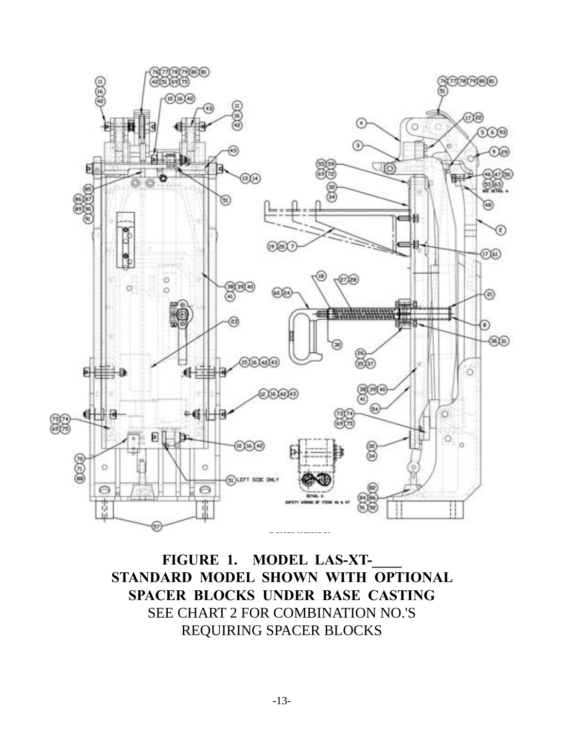

**FIGURE 1. MODEL LAS-XT-\_\_\_\_ STANDARD MODEL SHOWN WITH OPTIONAL SPACER BLOCKS UNDER BASE CASTING** SEE CHART 2 FOR COMBINATION NO.'S REQUIRING SPACER BLOCKS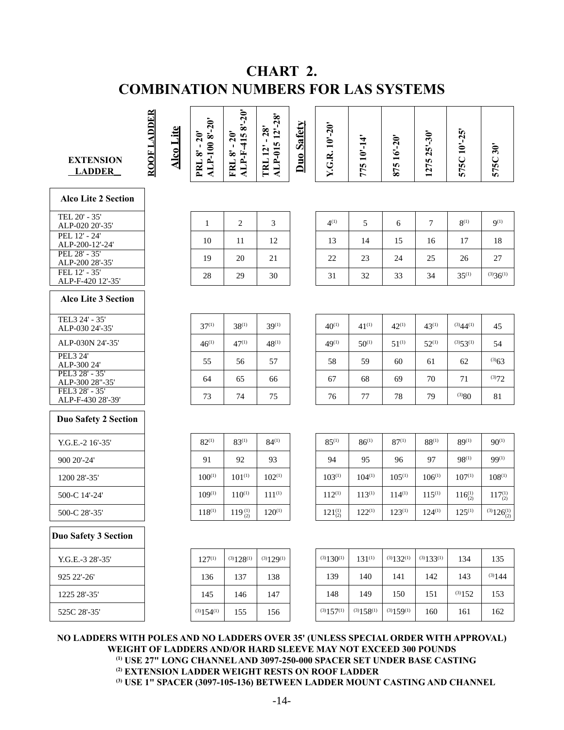# **CHART 2. COMBINATION NUMBERS FOR LAS SYSTEMS**

| <b>EXTENSION</b><br><b>LADDER</b>                                                                                                                    | ROOF LADDER | <b>Alco Lite</b> | ALP-1008'-20'<br>PRL 8' - 20' | ALP-F-4158'-20"<br>$-20^{\circ}$<br>FRL8' | ALP-015 12'-28"<br>TRL 12' - 28'                                                                                                                                                                                                          | <b>Duo Safety</b> | Y.G.R. 10'-20'           | 775 10'-14'    | 875 16'-20"    | 1275 25'-30"      | 575C 10'-25'      | 575C 30'                |
|------------------------------------------------------------------------------------------------------------------------------------------------------|-------------|------------------|-------------------------------|-------------------------------------------|-------------------------------------------------------------------------------------------------------------------------------------------------------------------------------------------------------------------------------------------|-------------------|--------------------------|----------------|----------------|-------------------|-------------------|-------------------------|
| <b>Alco Lite 2 Section</b>                                                                                                                           |             |                  |                               |                                           |                                                                                                                                                                                                                                           |                   |                          |                |                |                   |                   |                         |
| TEL 20' - 35'<br>ALP-020 20'-35'                                                                                                                     |             |                  | 1                             | 2                                         | 3                                                                                                                                                                                                                                         |                   | $4^{(1)}$                | 5              | 6              | 7                 | $8^{(1)}$         | $9^{(1)}$               |
| PEL $12 - 24$<br>ALP-200-12'-24'                                                                                                                     |             |                  | 10                            | 11                                        | 12                                                                                                                                                                                                                                        |                   | 13                       | 14             | 15             | 16                | 17                | 18                      |
| PEL 28' - 35'<br>ALP-200 28'-35'                                                                                                                     |             |                  | 19                            | 20                                        | 21                                                                                                                                                                                                                                        |                   | 22                       | 23             | 24             | 25                | 26                | 27                      |
| FEL 12' - 35'<br>ALP-F-420 12'-35'                                                                                                                   |             |                  | 28                            | 29                                        | 30                                                                                                                                                                                                                                        |                   | 31                       | 32             | 33             | 34                | $35^{(1)}$        | $(3)36^{(1)}$           |
| <b>Alco Lite 3 Section</b>                                                                                                                           |             |                  |                               |                                           |                                                                                                                                                                                                                                           |                   |                          |                |                |                   |                   |                         |
| TEL3 24' - 35'<br>ALP-030 24'-35'                                                                                                                    |             |                  | $37^{(1)}$                    | $38^{(1)}$                                | $39^{(1)}$                                                                                                                                                                                                                                |                   | $40^{(1)}$               | $41^{(1)}$     | $42^{(1)}$     | $43^{(1)}$        | $(3)44^{(1)}$     | 45                      |
| ALP-030N 24'-35'                                                                                                                                     |             |                  | $46^{(1)}$                    | $47^{(1)}$                                | $48^{(1)}$                                                                                                                                                                                                                                |                   | $49^{(1)}$               | $50^{(1)}$     | $51^{(1)}$     | $52^{(1)}$        | $(3)53^{(1)}$     | 54                      |
| PEL3 24'<br>ALP-300 24'                                                                                                                              |             |                  | 55                            | 56                                        | 57                                                                                                                                                                                                                                        |                   | 58                       | 59             | 60             | 61                | 62                | $^{(3)}63$              |
| PEL3 28' - 35'<br>ALP-300 28"-35'                                                                                                                    |             |                  | 64                            | 65                                        | 66                                                                                                                                                                                                                                        |                   | 67                       | 68             | 69             | 70                | 71                | (3)72                   |
| FEL3 28' - 35'<br>ALP-F-430 28'-39'                                                                                                                  |             |                  | 73                            | 74                                        | 75                                                                                                                                                                                                                                        |                   | 76                       | 77             | 78             | 79                | $^{(3)}80$        | 81                      |
| <b>Duo Safety 2 Section</b>                                                                                                                          |             |                  |                               |                                           |                                                                                                                                                                                                                                           |                   |                          |                |                |                   |                   |                         |
| Y.G.E.-2 16'-35'                                                                                                                                     |             |                  | $82^{(1)}$                    | $83^{(1)}$                                | $84^{(1)}$                                                                                                                                                                                                                                |                   | $85^{(1)}$               | $86^{(1)}$     | $87^{(1)}$     | $88^{(1)}$        | $89^{(1)}$        | $90^{(1)}$              |
| 900 20'-24'                                                                                                                                          |             |                  | 91                            | 92                                        | 93                                                                                                                                                                                                                                        |                   | 94                       | 95             | 96             | 97                | $98^{(1)}$        | $99^{(1)}$              |
| 1200 28'-35'                                                                                                                                         |             |                  | $100^{(1)}$                   | $101^{(1)}$                               | $102^{(1)}$                                                                                                                                                                                                                               |                   | $103^{(1)}$              | $104^{(1)}$    | $105^{(1)}$    | $106^{(1)}$       | $107^{(1)}$       | $108^{(1)}$             |
| 500-C 14'-24'                                                                                                                                        |             |                  | $109^{(1)}$                   | $110^{(1)}$                               | $111^{(1)}$                                                                                                                                                                                                                               |                   | $112^{(1)}$              | $113^{(1)}$    | $114^{(1)}$    | $115^{(1)}$       | $116^{(1)}_{(2)}$ | $117^{(1)}_{(2)}$       |
| 500-C 28'-35'                                                                                                                                        |             |                  | $118^{(1)}$                   | $119_{(2)}^{(1)}$                         | $120^{(1)}$                                                                                                                                                                                                                               |                   | $121^{(1)}_{(2)}$        | $122^{(1)}$    | $123^{(1)}$    | $124^{(1)}$       | $125^{(1)}$       | $^{(3)}126^{(1)}_{(2)}$ |
| <b>Duo Safety 3 Section</b>                                                                                                                          |             |                  |                               |                                           |                                                                                                                                                                                                                                           |                   |                          |                |                |                   |                   |                         |
| Y.G.E.-3 28'-35'                                                                                                                                     |             |                  | $127^{(1)}$                   | $(3)128$ <sup>(1)</sup>                   | $(3)129^{(1)}$                                                                                                                                                                                                                            |                   | $(3)$ 130 <sup>(1)</sup> | $131^{(1)}$    | $(3)132^{(1)}$ | $(3)$ 1 3 3 $(1)$ | 134               | 135                     |
| 925 22'-26'                                                                                                                                          |             |                  | 136                           | 137                                       | 138                                                                                                                                                                                                                                       |                   | 139                      | 140            | 141            | 142               | 143               | (3)144                  |
| 1225 28'-35'                                                                                                                                         |             |                  | 145                           | 146                                       | 147                                                                                                                                                                                                                                       |                   | 148                      | 149            | 150            | 151               | (3)152            | 153                     |
| 525C 28'-35'                                                                                                                                         |             |                  | $(3)154^{(1)}$                | 155                                       | 156                                                                                                                                                                                                                                       |                   | $(3)$ 157 $(1)$          | $(3)158^{(1)}$ | $(3)159^{(1)}$ | 160               | 161               | 162                     |
| NO LADDERS WITH POLES AND NO LADDERS OVER 35' (UNLESS SPECIAL ORDER WITH APPROVAL)<br>WEIGHT OF LADDERS AND/OR HARD SLEEVE MAY NOT EXCEED 300 POUNDS |             |                  |                               |                                           | <sup>(1)</sup> USE 27" LONG CHANNEL AND 3097-250-000 SPACER SET UNDER BASE CASTING<br><sup>(2)</sup> EXTENSION LADDER WEIGHT RESTS ON ROOF LADDER<br><sup>(3)</sup> USE 1" SPACER (3097-105-136) BETWEEN LADDER MOUNT CASTING AND CHANNEL |                   |                          |                |                |                   |                   |                         |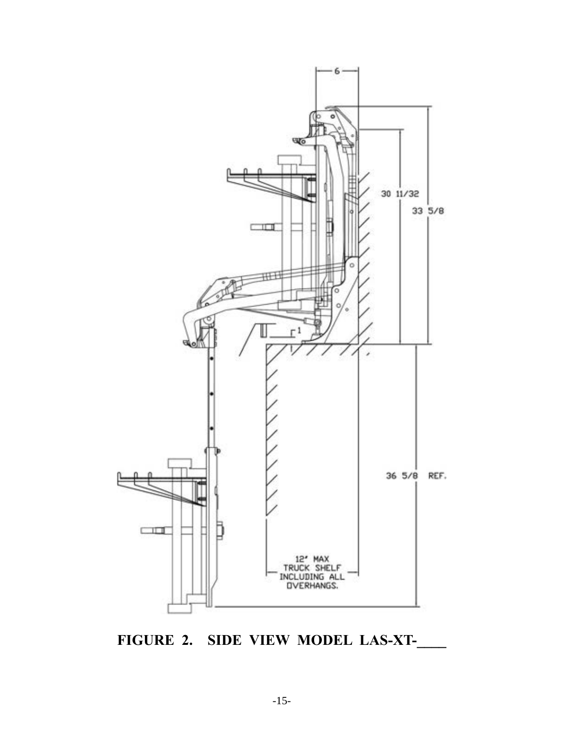

**FIGURE 2. SIDE VIEW MODEL LAS-XT-\_\_\_\_**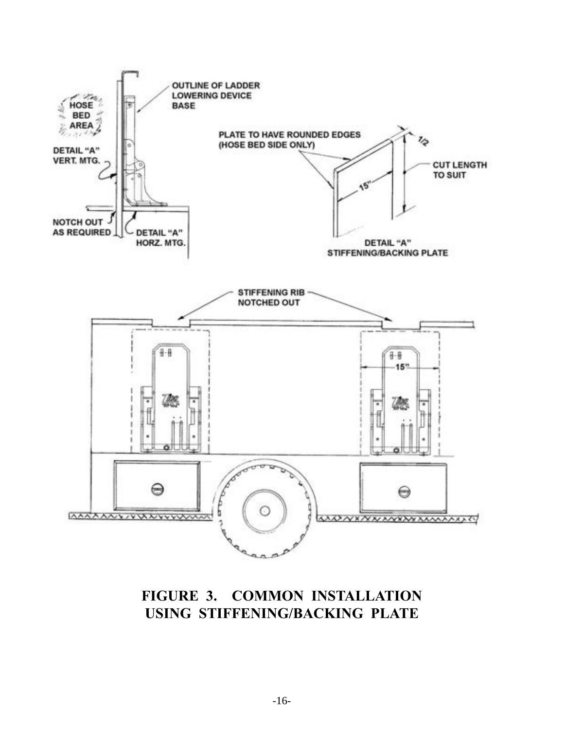

## **FIGURE 3. COMMON INSTALLATION USING STIFFENING/BACKING PLATE**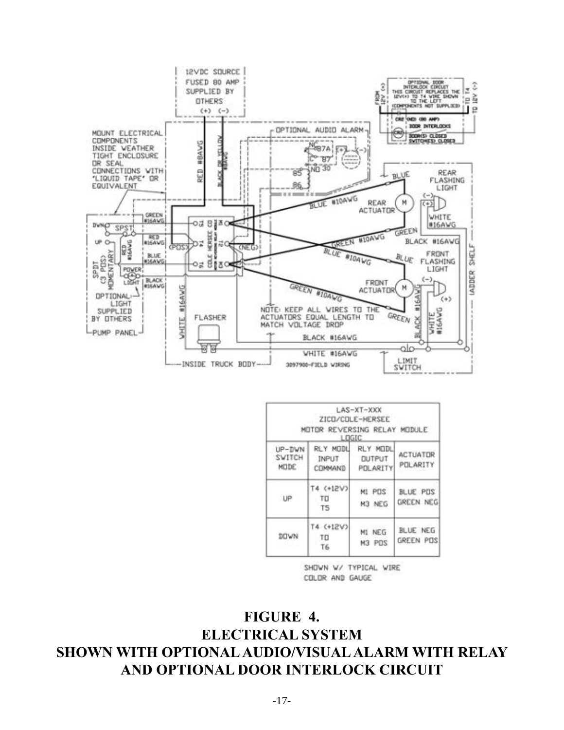

|                          | MOTOR REVERSING RELAY MODULE<br>LOGIC | LAS-XT-XXX<br>ZICD/CDLE-HERSEE         |                             |
|--------------------------|---------------------------------------|----------------------------------------|-----------------------------|
| UP-DWN<br>SVITCH<br>MODE | REY MODU<br>INPUT                     | RLY MODL<br>DUTPUT<br>COMMAND POLARITY | <b>ACTUATOR</b><br>POLARITY |
| UP                       | T4 (+12V)<br>TO<br>T <sub>5</sub>     | MI POS<br>M3 NEG                       | BLUE PDS<br>GREEN NEG       |
| <b>DOWN</b>              | T4 (+12V)<br>TO<br>T6                 | M1 NEG<br><b>209 EM</b>                | BLUE NEG<br>GREEN POS       |

SHOWN W/ TYPICAL WIRE COLOR AND GAUGE

**FIGURE 4. ELECTRICAL SYSTEM SHOWN WITH OPTIONAL AUDIO/VISUAL ALARM WITH RELAY AND OPTIONAL DOOR INTERLOCK CIRCUIT**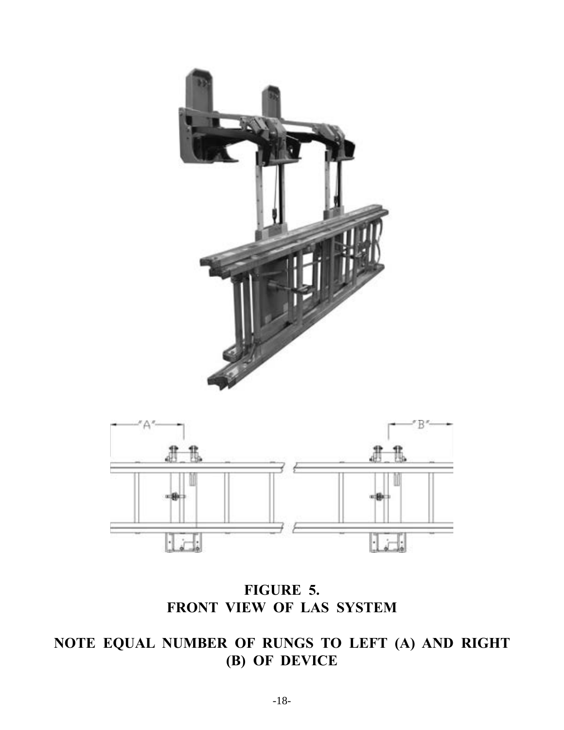



**FIGURE 5. FRONT VIEW OF LAS SYSTEM**

# **NOTE EQUAL NUMBER OF RUNGS TO LEFT (A) AND RIGHT (B) OF DEVICE**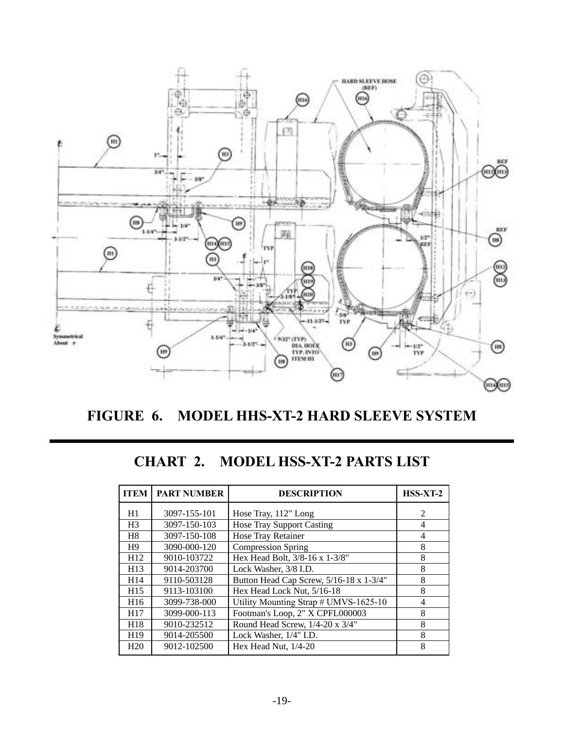

**FIGURE 6. MODEL HHS-XT-2 HARD SLEEVE SYSTEM**

## **CHART 2. MODEL HSS-XT-2 PARTS LIST**

| <b>ITEM</b>     | <b>PART NUMBER</b> | <b>DESCRIPTION</b>                      | $HSS-XT-2$                  |
|-----------------|--------------------|-----------------------------------------|-----------------------------|
| H1              | 3097-155-101       | Hose Tray, 112" Long                    | $\mathcal{D}_{\mathcal{L}}$ |
| H <sub>3</sub>  | 3097-150-103       | <b>Hose Tray Support Casting</b>        | 4                           |
| H <sub>8</sub>  | 3097-150-108       | Hose Tray Retainer                      | 4                           |
| H <sub>9</sub>  | 3090-000-120       | <b>Compression Spring</b>               | 8                           |
| H12             | 9010-103722        | Hex Head Bolt, 3/8-16 x 1-3/8"          | 8                           |
| H <sub>13</sub> | 9014-203700        | Lock Washer, 3/8 I.D.                   | 8                           |
| H <sub>14</sub> | 9110-503128        | Button Head Cap Screw, 5/16-18 x 1-3/4" | 8                           |
| H <sub>15</sub> | 9113-103100        | Hex Head Lock Nut, 5/16-18              | 8                           |
| H <sub>16</sub> | 3099-738-000       | Utility Mounting Strap # UMVS-1625-10   | 4                           |
| H <sub>17</sub> | 3099-000-113       | Footman's Loop, 2" X CPFL000003         | 8                           |
| H <sub>18</sub> | 9010-232512        | Round Head Screw, 1/4-20 x 3/4"         | 8                           |
| H <sub>19</sub> | 9014-205500        | Lock Washer, 1/4" I.D.                  | 8                           |
| H <sub>20</sub> | 9012-102500        | Hex Head Nut, $1/4-20$                  | 8                           |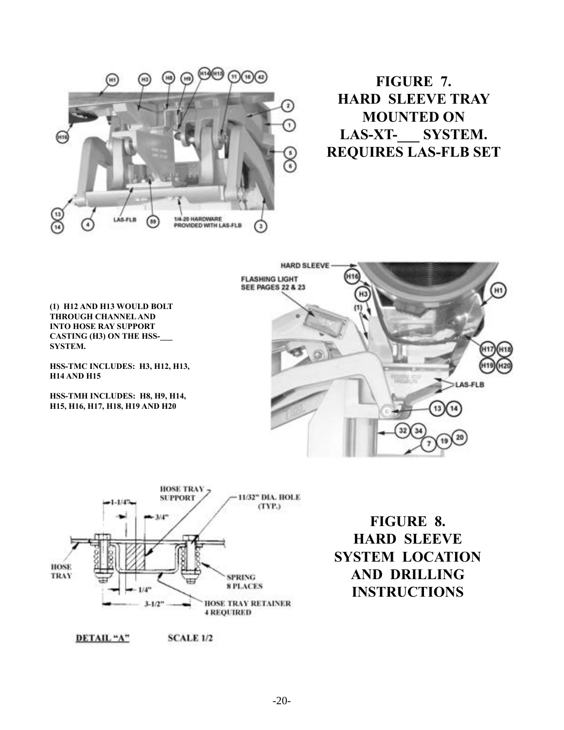

**FIGURE 7. HARD SLEEVE TRAY MOUNTED ON LAS-XT-\_\_\_ SYSTEM. REQUIRES LAS-FLB SET**

**(1) H12 AND H13 WOULD BOLT THROUGH CHANNEL AND INTO HOSE RAY SUPPORT CASTING (H3) ON THE HSS-\_\_\_ SYSTEM.**

**HSS-TMC INCLUDES: H3, H12, H13, H14 AND H15**

**HSS-TMH INCLUDES: H8, H9, H14, H15, H16, H17, H18, H19 AND H20**





**FIGURE 8. HARD SLEEVE SYSTEM LOCATION AND DRILLING INSTRUCTIONS**

DETAIL "A" **SCALE 1/2**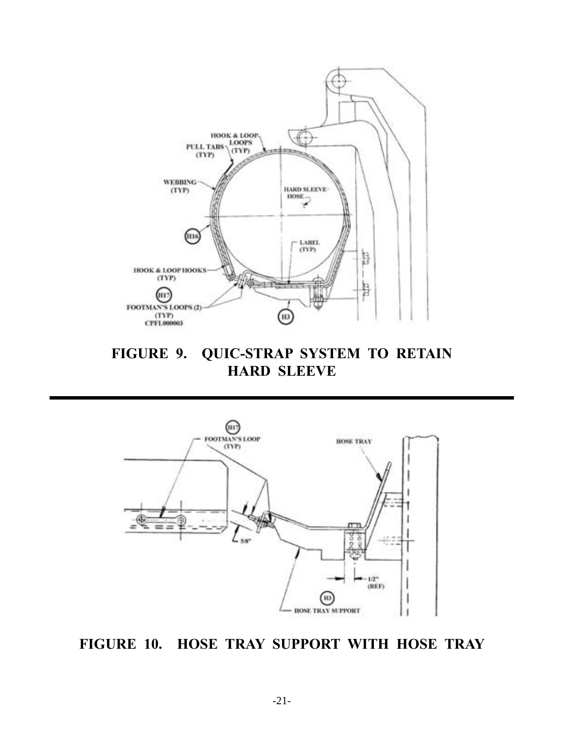

**FIGURE 9. QUIC-STRAP SYSTEM TO RETAIN HARD SLEEVE**



**FIGURE 10. HOSE TRAY SUPPORT WITH HOSE TRAY**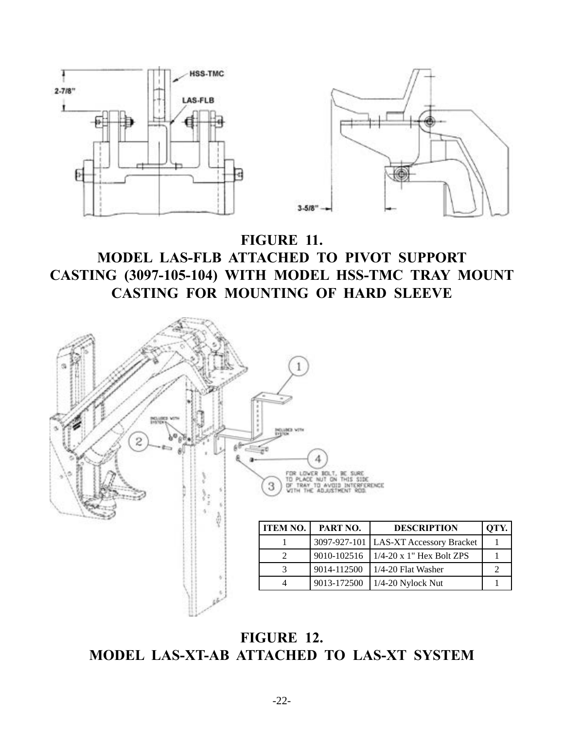

# **FIGURE 11. MODEL LAS-FLB ATTACHED TO PIVOT SUPPORT CASTING (3097-105-104) WITH MODEL HSS-TMC TRAY MOUNT CASTING FOR MOUNTING OF HARD SLEEVE**



**FIGURE 12. MODEL LAS-XT-AB ATTACHED TO LAS-XT SYSTEM**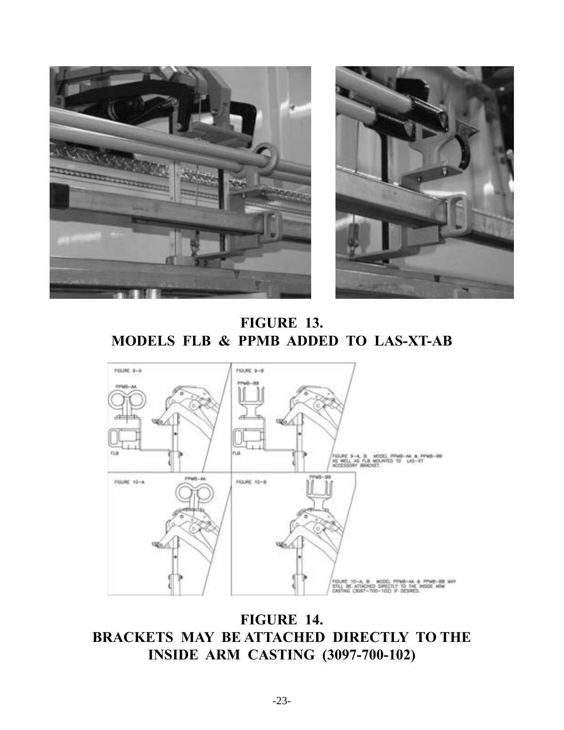



**FIGURE 13. MODELS FLB & PPMB ADDED TO LAS-XT-AB**



**FIGURE 14. BRACKETS MAY BE ATTACHED DIRECTLY TO THE INSIDE ARM CASTING (3097-700-102)**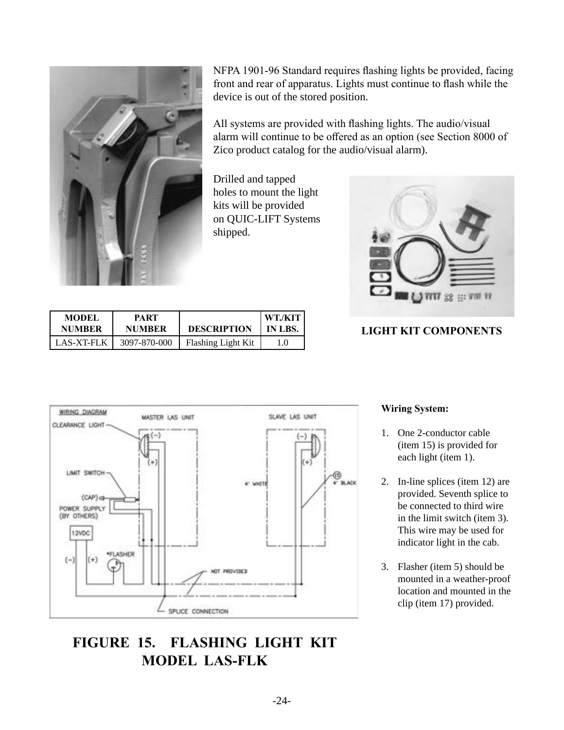

NFPA 1901-96 Standard requires flashing lights be provided, facing front and rear of apparatus. Lights must continue to flash while the device is out of the stored position.

All systems are provided with flashing lights. The audio/visual alarm will continue to be offered as an option (see Section 8000 of Zico product catalog for the audio/visual alarm).

Drilled and tapped holes to mount the light kits will be provided on QUIC-LIFT Systems shipped.



### **LIGHT KIT COMPONENTS**

| <b>MODEL</b>  | PART          | <b>DESCRIPTION</b>        | WT./KIT |
|---------------|---------------|---------------------------|---------|
| <b>NUMBER</b> | <b>NUMBER</b> |                           | IN LBS. |
| LAS-XT-FLK    | 3097-870-000  | <b>Flashing Light Kit</b> |         |



# **FIGURE 15. FLASHING LIGHT KIT MODEL LAS-FLK**

#### **Wiring System:**

- 1. One 2-conductor cable (item 15) is provided for each light (item 1).
- 2. In-line splices (item 12) are provided. Seventh splice to be connected to third wire in the limit switch (item 3). This wire may be used for indicator light in the cab.
- 3. Flasher (item 5) should be mounted in a weather-proof location and mounted in the clip (item 17) provided.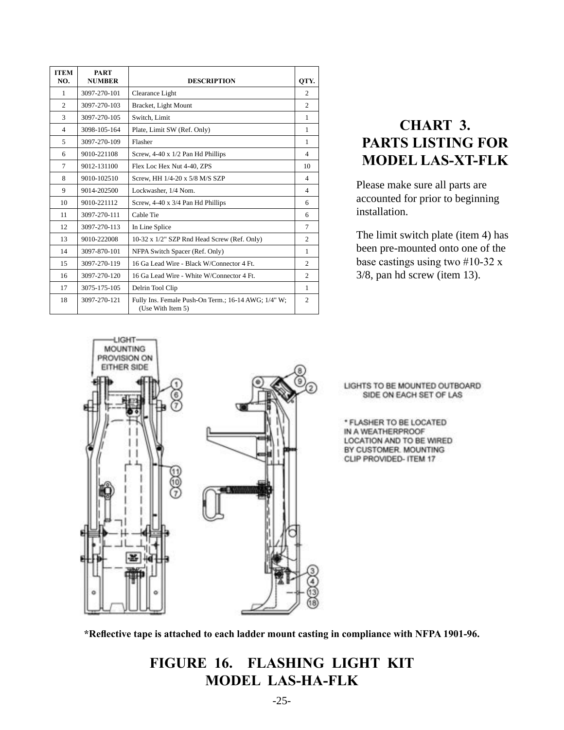| <b>ITEM</b><br>NO. | <b>PART</b><br><b>NUMBER</b> | <b>DESCRIPTION</b>                                                       | QTY.           |  |  |  |  |
|--------------------|------------------------------|--------------------------------------------------------------------------|----------------|--|--|--|--|
| 1                  | 3097-270-101                 | Clearance Light                                                          | $\mathfrak{2}$ |  |  |  |  |
| 2                  | 3097-270-103                 | Bracket, Light Mount                                                     | 2              |  |  |  |  |
| 3                  | 3097-270-105                 | Switch, Limit                                                            | 1              |  |  |  |  |
| $\overline{4}$     | 3098-105-164                 | Plate, Limit SW (Ref. Only)                                              | 1              |  |  |  |  |
| 5                  | 3097-270-109                 | Flasher                                                                  | 1              |  |  |  |  |
| 6                  | 9010-221108                  | Screw, 4-40 x 1/2 Pan Hd Phillips                                        |                |  |  |  |  |
| $\overline{7}$     | 9012-131100                  | Flex Loc Hex Nut 4-40, ZPS                                               | 10             |  |  |  |  |
| 8                  | 9010-102510                  | Screw, HH 1/4-20 x 5/8 M/S SZP                                           | $\overline{4}$ |  |  |  |  |
| 9                  | 9014-202500                  | Lockwasher, 1/4 Nom.                                                     | $\overline{4}$ |  |  |  |  |
| 10                 | 9010-221112                  | Screw, 4-40 x 3/4 Pan Hd Phillips                                        | 6              |  |  |  |  |
| 11                 | 3097-270-111                 | Cable Tie                                                                | 6              |  |  |  |  |
| 12                 | 3097-270-113                 | In Line Splice                                                           | 7              |  |  |  |  |
| 13                 | 9010-222008                  | 10-32 x 1/2" SZP Rnd Head Screw (Ref. Only)                              | $\overline{c}$ |  |  |  |  |
| 14                 | 3097-870-101                 | NFPA Switch Spacer (Ref. Only)                                           | 1              |  |  |  |  |
| 15                 | 3097-270-119                 | 16 Ga Lead Wire - Black W/Connector 4 Ft.                                | $\overline{c}$ |  |  |  |  |
| 16                 | 3097-270-120                 | 16 Ga Lead Wire - White W/Connector 4 Ft.                                | $\overline{c}$ |  |  |  |  |
| 17                 | 3075-175-105                 | Delrin Tool Clip                                                         | 1              |  |  |  |  |
| 18                 | 3097-270-121                 | Fully Ins. Female Push-On Term.; 16-14 AWG; 1/4" W;<br>(Use With Item 5) | $\mathfrak{2}$ |  |  |  |  |

# **CHART 3. PARTS LISTING FOR MODEL LAS-XT-FLK**

Please make sure all parts are accounted for prior to beginning installation.

The limit switch plate (item 4) has been pre-mounted onto one of the base castings using two #10-32 x 3/8, pan hd screw (item 13).



**\*Reflective tape is attached to each ladder mount casting in compliance with NFPA 1901-96.**

**FIGURE 16. FLASHING LIGHT KIT MODEL LAS-HA-FLK**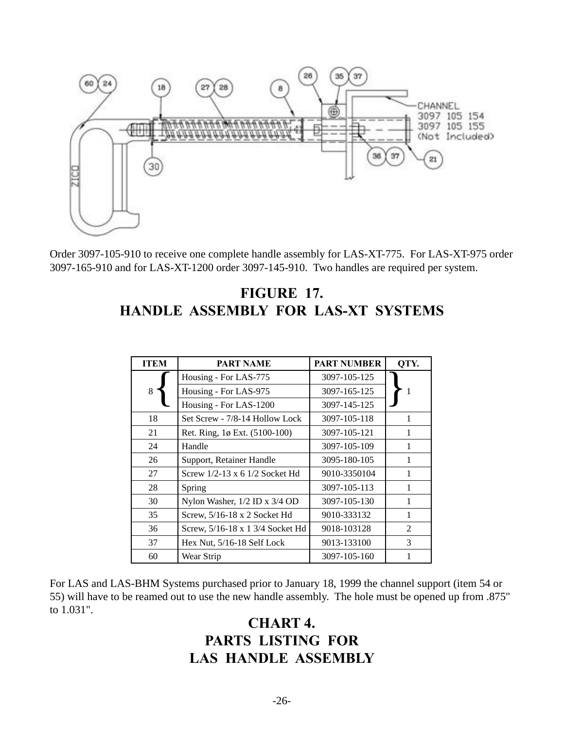

Order 3097-105-910 to receive one complete handle assembly for LAS-XT-775. For LAS-XT-975 order 3097-165-910 and for LAS-XT-1200 order 3097-145-910. Two handles are required per system.

# **FIGURE 17. HANDLE ASSEMBLY FOR LAS-XT SYSTEMS**

| <b>ITEM</b> | <b>PART NAME</b>                 | <b>PART NUMBER</b> | QTY.           |
|-------------|----------------------------------|--------------------|----------------|
|             | Housing - For LAS-775            | 3097-105-125       |                |
| 8           | Housing - For LAS-975            | 3097-165-125       | 1              |
|             | Housing - For LAS-1200           | 3097-145-125       |                |
| 18          | Set Screw - 7/8-14 Hollow Lock   | 3097-105-118       | 1              |
| 21          | Ret. Ring, 1ø Ext. (5100-100)    | 3097-105-121       | 1              |
| 24          | Handle                           | 3097-105-109       | 1              |
| 26          | Support, Retainer Handle         | 3095-180-105       | 1              |
| 27          | Screw 1/2-13 x 6 1/2 Socket Hd   | 9010-3350104       | 1              |
| 28          | Spring                           | 3097-105-113       | 1              |
| 30          | Nylon Washer, 1/2 ID x 3/4 OD    | 3097-105-130       | 1              |
| 35          | Screw, 5/16-18 x 2 Socket Hd     | 9010-333132        | 1              |
| 36          | Screw, 5/16-18 x 1 3/4 Socket Hd | 9018-103128        | $\mathfrak{D}$ |
| 37          | Hex Nut, $5/16-18$ Self Lock     | 9013-133100        | 3              |
| 60          | Wear Strip                       | 3097-105-160       |                |

For LAS and LAS-BHM Systems purchased prior to January 18, 1999 the channel support (item 54 or 55) will have to be reamed out to use the new handle assembly. The hole must be opened up from .875" to 1.031".

## **CHART 4. PARTS LISTING FOR LAS HANDLE ASSEMBLY**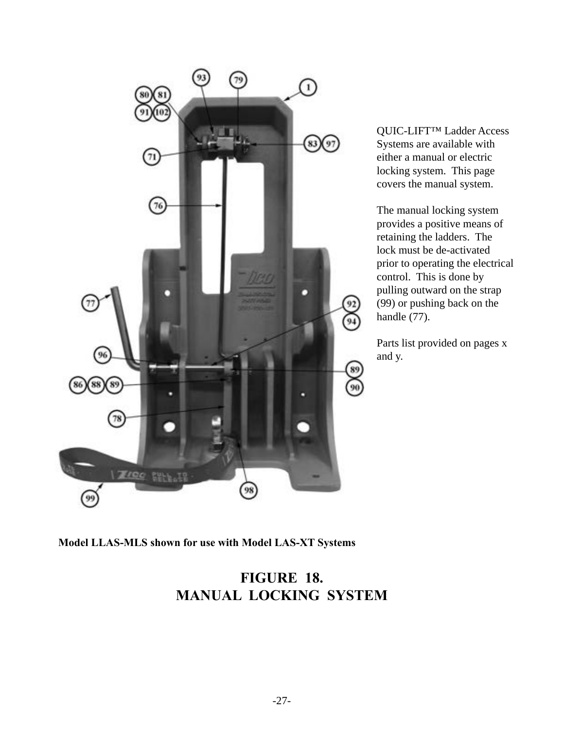

QUIC-LIFT™ Ladder Access Systems are available with either a manual or electric locking system. This page covers the manual system.

The manual locking system provides a positive means of retaining the ladders. The lock must be de-activated prior to operating the electrical control. This is done by pulling outward on the strap (99) or pushing back on the handle (77).

Parts list provided on pages x and y.

**Model LLAS-MLS shown for use with Model LAS-XT Systems**

# **FIGURE 18. MANUAL LOCKING SYSTEM**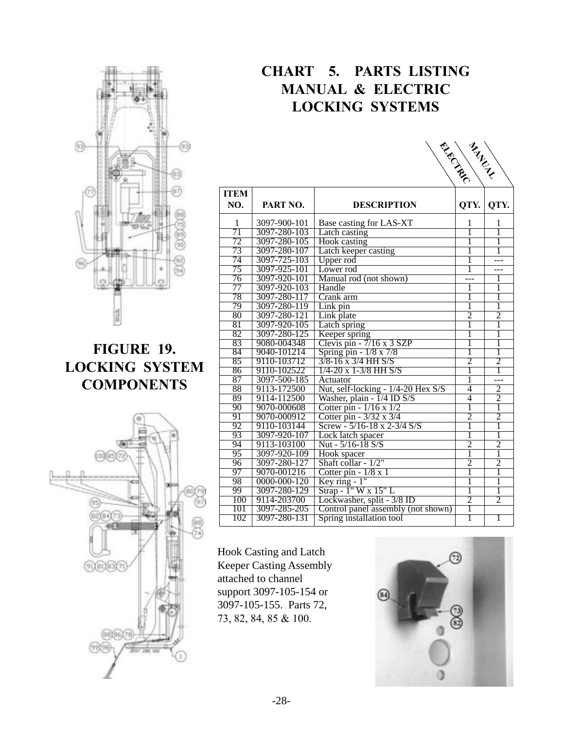

# **FIGURE 19. LOCKING SYSTEM COMPONENTS**



# **CHART 5. PARTS LISTING MANUAL & ELECTRIC LOCKING SYSTEMS**

|                 |                    |                                        | <b>CHANNEL RANGE</b> |                |
|-----------------|--------------------|----------------------------------------|----------------------|----------------|
|                 |                    |                                        |                      |                |
|                 |                    |                                        |                      |                |
|                 |                    |                                        |                      |                |
| <b>ITEM</b>     |                    |                                        |                      |                |
| NO.             | PART NO.           | <b>DESCRIPTION</b>                     | QTY.                 | QTY.           |
|                 |                    |                                        |                      |                |
| 1               | 3097-900-101       | Base casting for LAS-XT                | 1                    | 1              |
| $\overline{71}$ | 3097-280-103       | Latch casting                          | ī                    | ī              |
| 72              | 3097-280-105       | Hook casting                           | 1                    | 1              |
| 73              | 3097-280-107       | Latch keeper casting                   | 1                    | 1              |
| $\overline{74}$ | 3097-725-103       | Upper rod                              | ī                    | ---            |
| $\overline{75}$ | 3097-925-101       | Lower rod                              | ī                    |                |
| 76              | 3097-920-101       | Manual rod (not shown)                 |                      | 1              |
| $\overline{77}$ | 3097-920-103       | Handle                                 | 1                    | 1              |
| $\overline{78}$ | 3097-280-117       | Crank arm                              | 1                    | 1              |
| 79              | 3097-280-119       | Link pin                               | 1                    | $\overline{1}$ |
| $\overline{80}$ | 3097-280-121       | Link plate                             | $\overline{2}$       | $\overline{2}$ |
| $\overline{81}$ | 3097-920-105       | Latch spring                           | ī                    | T              |
| 82              | 3097-280-125       | Keeper spring                          | 1                    | 1              |
| $\overline{83}$ | 9080-004348        | Clevis pin $-7/16 \times 3$ SZP        | 1                    | 1              |
| $\overline{84}$ | 9040-101214        | Spring pin - 1/8 x 7/8                 | ī                    | $\overline{1}$ |
| 85              | 9110-103712        | $3/8 - 16 \times 3/4$ HH S/S           | $\overline{2}$       | $\overline{2}$ |
| 86              | 9110-102522        | $1/4 - 20$ x 1-3/8 HH S/S              | ī                    | ī              |
| $\overline{87}$ | 3097-500-185       | Actuator                               | 1                    | ---            |
| $\overline{88}$ | 9113-172500        | Nut, self-locking - 1/4-20 Hex S/S     | 4                    | $\overline{2}$ |
| $\overline{89}$ | 9114-112500        | Washer, plain - $1/4$ ID S/S           | $\overline{4}$       | $\overline{2}$ |
| 90              | 9070-000608        | Cotter pin - $1/16 \times 1/2$         | $\overline{1}$       | $\overline{1}$ |
| 91              | 9070-000912        | Cotter pin - 3/32 x 3/4                | $\overline{2}$       | $\overline{2}$ |
| 92              | 9110-103144        | Screw - $5/16 - 18 \times 2 - 3/4$ S/S | 1                    | T              |
| 93              | 3097-920-107       | Lock latch spacer                      | ī                    | ī              |
| $\overline{94}$ | 9113-103100        | Nut - 5/16-18 S/S                      | $\overline{2}$       | $\overline{2}$ |
| 95              | 3097-920-109       | Hook spacer                            | $\overline{1}$       | $\overline{1}$ |
| 96              | 3097-280-127       | Shaft collar - 1/2"                    | $\overline{2}$       | $\overline{2}$ |
| 97              | 9070-001216        | Cotter pin $-1/8 \times 1$             | ī                    | 1              |
| 98              | $0000 - 000 - 120$ | Key ring $-1$ "                        | $\overline{1}$       | $\mathbf{1}$   |
| 99              | 3097-280-129       | Strap - 1" W x 15" L                   | ī                    | ī              |
| 100             | 9114-203700        | Lockwasher, split - 3/8 ID             | $\overline{2}$       | $\overline{2}$ |
| 101             | 3097-285-205       | Control panel assembly (not shown)     | $\overline{1}$       |                |
| 102             | 3097-280-131       | Spring installation tool               | $\overline{1}$       | ī              |

Hook Casting and Latch Keeper Casting Assembly attached to channel support 3097-105-154 or 3097-105-155. Parts 72, 73, 82, 84, 85 & 100.

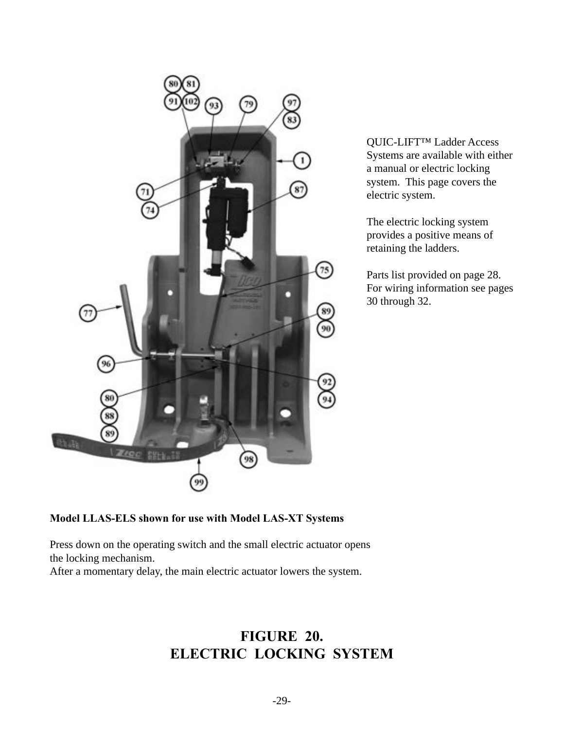

QUIC-LIFT™ Ladder Access Systems are available with either a manual or electric locking system. This page covers the electric system.

The electric locking system provides a positive means of retaining the ladders.

Parts list provided on page 28. For wiring information see pages 30 through 32.

### **Model LLAS-ELS shown for use with Model LAS-XT Systems**

Press down on the operating switch and the small electric actuator opens the locking mechanism.

After a momentary delay, the main electric actuator lowers the system.

# **FIGURE 20. ELECTRIC LOCKING SYSTEM**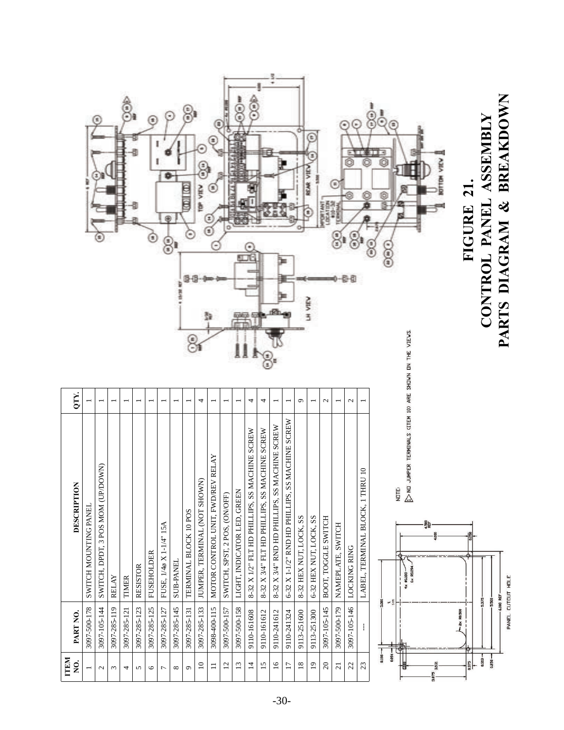|                          |                       | Œ)<br>s                           |              |              |                 | Œ<br>Ξ            | 8                       |                  | 3<br>con Leo<br>Ŗ     | <b>TOP VIEW</b>              | z<br>Ξ<br>€                       | n                             | ĝ<br>肛门                     |                                                   |                                               |                                               |                                                 |                        | t<br>REAR VIE<br>SH VIE | DCATTO-32<br><b>DRTANT</b> | E<br>u Yu         | Ē             | ô<br>Q                           | PARTS DIAGRAM & BREAKDOWN<br>$\frac{1}{2}$<br>CONTROL PANEL ASSEMBLY<br>Õ<br><b>KOTTOM VIEW</b><br>FIGURE 21.<br>©<br>ę<br>e)(m)(e |
|--------------------------|-----------------------|-----------------------------------|--------------|--------------|-----------------|-------------------|-------------------------|------------------|-----------------------|------------------------------|-----------------------------------|-------------------------------|-----------------------------|---------------------------------------------------|-----------------------------------------------|-----------------------------------------------|-------------------------------------------------|------------------------|-------------------------|----------------------------|-------------------|---------------|----------------------------------|------------------------------------------------------------------------------------------------------------------------------------|
| QTY.                     |                       |                                   |              |              |                 |                   |                         |                  |                       | 4                            |                                   |                               |                             | 4                                                 | 4                                             |                                               |                                                 | ٥                      |                         | $\mathcal{L}$              |                   | $\mathcal{L}$ |                                  |                                                                                                                                    |
| DESCRIPTION              | SWITCH MOUNTING PANEL | SWITCH, DPDT, 3 POS MOM (UP/DOWN) | <b>RELAY</b> | TIMER        | <b>RESISTOR</b> | <b>FUSEHOLDER</b> | FUSE, 1/4ø X 1-1/4" 15A | <b>SUB-PANEL</b> | TERMINAL BLOCK 10 POS | JUMPER, TERMINAL (NOT SHOWN) | MOTOR CONTROL UNIT, FWD/REV RELAY | SWITCH, SPST, 2 POS, (ON/OFF) | LIGHT, INDICATOR LED, GREEN | ACHINE SCREW<br>8-32 X 1/2" FLT HD PHILLIPS, SS M | 8-32 X 3/4" FLT HD PHILLIPS, SS MACHINE SCREW | 8-32 X 3/4" RND HD PHILLIPS, SS MACHINE SCREW | 6-32 X 1-1/2" RND HD PHILLIPS, SS MACHINE SCREW | 8-32 HEX NUT, LOCK, SS | 6-32 HEX NUT, LOCK, SS  | <b>BOOT, TOGGLE SWITCH</b> | NAMEPLATE, SWITCH | LOCKING RING  | LABEL, TERMINAL BLOCK, 1 THRU 10 | JUMPER TERMINALS (ITEM 10) ARE SHOWN ON THE VIEWS.<br>$\mathbb{R}$<br>NOTE:<br>4,500<br>REF<br>6x R0.09<br>4x #0.188               |
| PART NO.                 | 3097-500-178          | 3097-105-144                      | 3097-285-119 | 3097-285-121 | 3097-285-123    | 3097-285-125      | 3097-285-127            | 3097-285-145     | 3097-285-131          | 3097-285-133                 | 3098-400-115                      | 3097-500-157                  | 3097-500-158                | 9110-161608                                       | 9110-161612                                   | 9110-241612                                   | 9110-241324                                     | 9113-251600            | 9113-251300             | 3097-105-145               | 3097-500-179      | 3097-105-146  | ŧ                                | PANEL CUTDUT HOLE<br>6.000 REF<br>$-5.375-$<br>$-5,500$<br>5,000<br>≌ س<br>$-z \times R0.500$                                      |
| <b>ITEM</b><br>$\dot{q}$ |                       | $\mathbf{C}$                      | $\epsilon$   | 4            | $\sigma$        | $\circ$           | $\overline{ }$          | ${}^{\infty}$    | $\mathfrak{S}$        | $\overline{10}$              | $\equiv$                          | $\overline{\mathfrak{c}}$     | $13\,$                      | $\Xi$                                             | 15                                            | $\overline{16}$                               | $\overline{17}$                                 | $18\,$                 | $\overline{19}$         | $\mathfrak{D}$             | $\overline{c}$    | $\mathcal{Z}$ | $\mathbb{S}^2$                   | $-16000$<br>0.188-<br>$0.313 -$<br>$0.250 -$<br>$rac{1}{1}$                                                                        |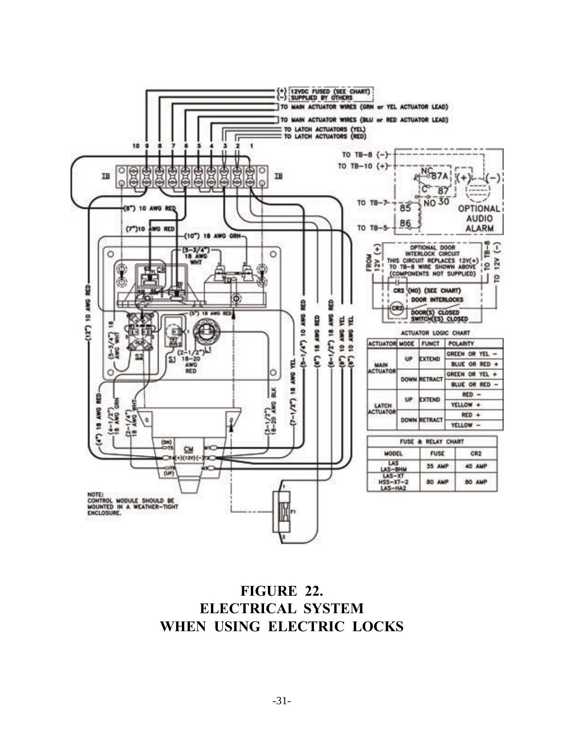

## **FIGURE 22. ELECTRICAL SYSTEM WHEN USING ELECTRIC LOCKS**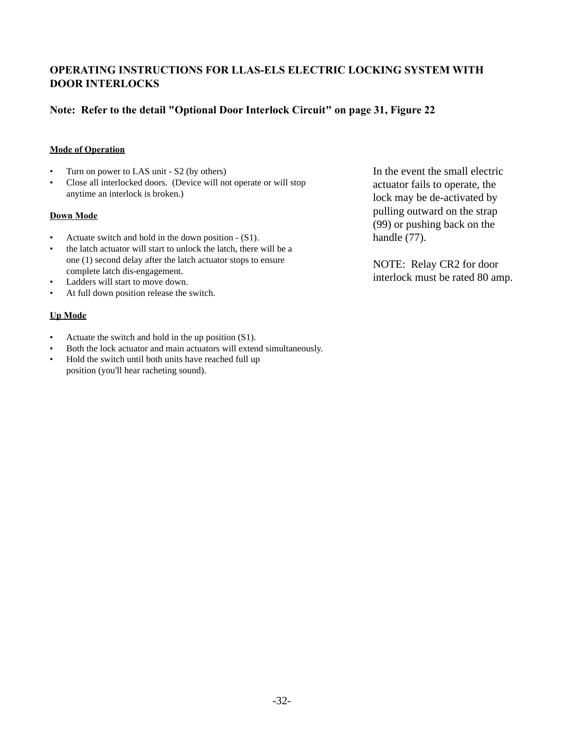### **OPERATING INSTRUCTIONS FOR LLAS-ELS ELECTRIC LOCKING SYSTEM WITH DOOR INTERLOCKS**

### **Note: Refer to the detail "Optional Door Interlock Circuit" on page 31, Figure 22**

#### **Mode of Operation**

- Turn on power to LAS unit S2 (by others)
- Close all interlocked doors. (Device will not operate or will stop anytime an interlock is broken.)

#### **Down Mode**

- Actuate switch and hold in the down position (S1).
- the latch actuator will start to unlock the latch, there will be a one (1) second delay after the latch actuator stops to ensure complete latch dis-engagement.
- Ladders will start to move down.
- At full down position release the switch.

#### **Up Mode**

- Actuate the switch and hold in the up position (S1).
- Both the lock actuator and main actuators will extend simultaneously.
- Hold the switch until both units have reached full up position (you'll hear racheting sound).

In the event the small electric actuator fails to operate, the lock may be de-activated by pulling outward on the strap (99) or pushing back on the handle (77).

NOTE: Relay CR2 for door interlock must be rated 80 amp.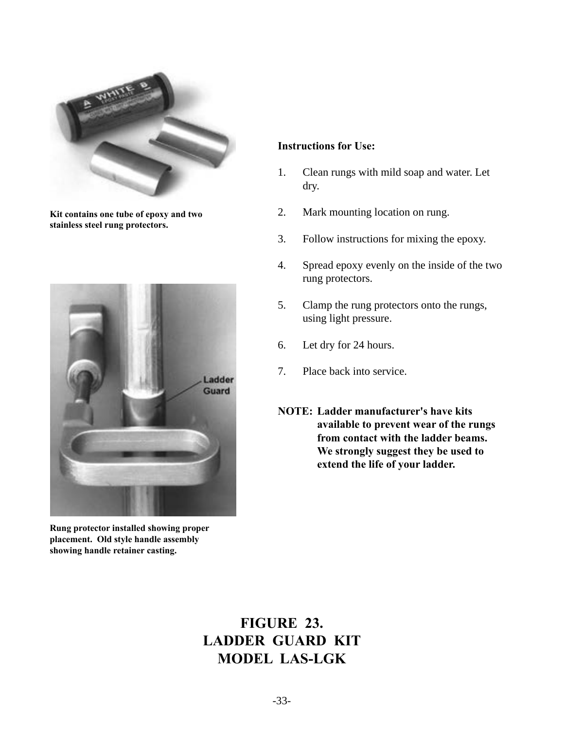

**Kit contains one tube of epoxy and two stainless steel rung protectors.**



**Rung protector installed showing proper placement. Old style handle assembly showing handle retainer casting.**

#### **Instructions for Use:**

- 1. Clean rungs with mild soap and water. Let dry.
- 2. Mark mounting location on rung.
- 3. Follow instructions for mixing the epoxy.
- 4. Spread epoxy evenly on the inside of the two rung protectors.
- 5. Clamp the rung protectors onto the rungs, using light pressure.
- 6. Let dry for 24 hours.
- 7. Place back into service.
- **NOTE: Ladder manufacturer's have kits available to prevent wear of the rungs from contact with the ladder beams. We strongly suggest they be used to extend the life of your ladder.**

# **FIGURE 23. LADDER GUARD KIT MODEL LAS-LGK**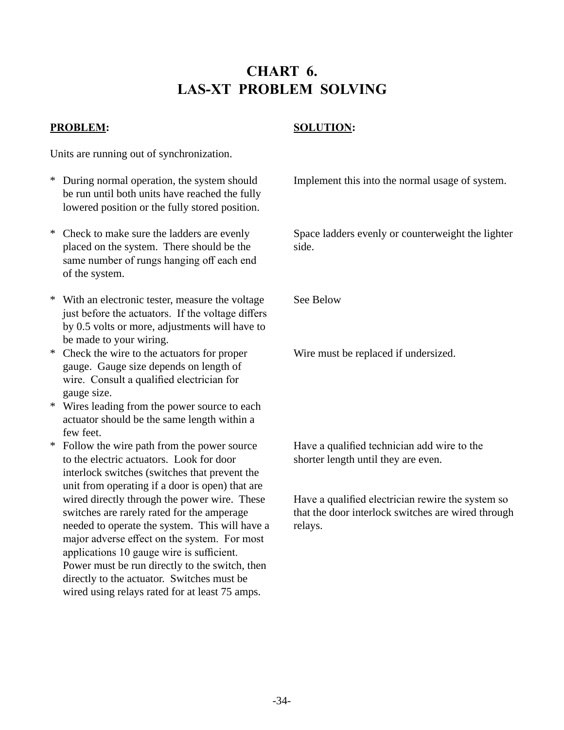# **CHART 6. LAS-XT PROBLEM SOLVING**

### **PROBLEM:**

### **SOLUTION:**

Units are running out of synchronization.

- \* During normal operation, the system should be run until both units have reached the fully lowered position or the fully stored position.
- \* Check to make sure the ladders are evenly placed on the system. There should be the same number of rungs hanging off each end of the system.
- \* With an electronic tester, measure the voltage just before the actuators. If the voltage differs by 0.5 volts or more, adjustments will have to be made to your wiring.
- \* Check the wire to the actuators for proper gauge. Gauge size depends on length of wire. Consult a qualified electrician for gauge size.
- \* Wires leading from the power source to each actuator should be the same length within a few feet.
- \* Follow the wire path from the power source to the electric actuators. Look for door interlock switches (switches that prevent the unit from operating if a door is open) that are wired directly through the power wire. These switches are rarely rated for the amperage needed to operate the system. This will have a major adverse effect on the system. For most applications 10 gauge wire is sufficient. Power must be run directly to the switch, then directly to the actuator. Switches must be wired using relays rated for at least 75 amps.

Implement this into the normal usage of system.

Space ladders evenly or counterweight the lighter side.

See Below

Wire must be replaced if undersized.

Have a qualified technician add wire to the shorter length until they are even.

Have a qualified electrician rewire the system so that the door interlock switches are wired through relays.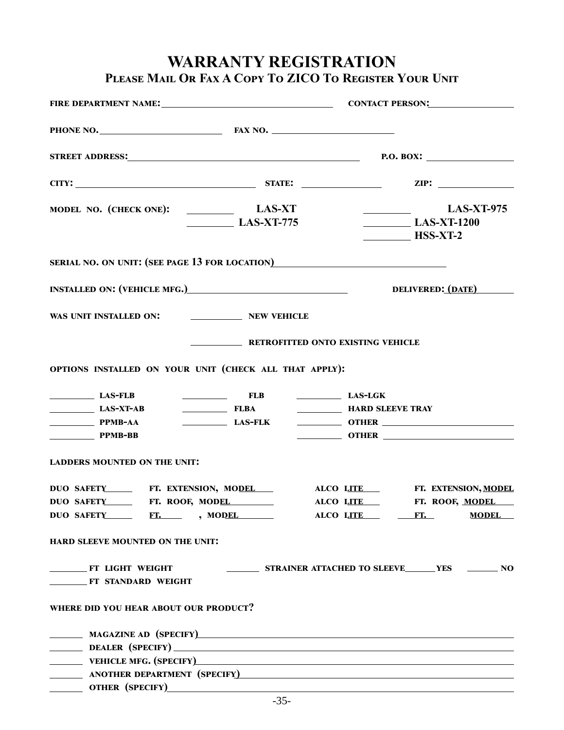## **WARRANTY REGISTRATION Please Mail Or Fax A Copy To ZICO To Register Your Unit**

| STREET ADDRESS: P.O. BOX: P.O. BOX:                                                                                                                                                            |                        |                                                           |                                                                                                                                                     |
|------------------------------------------------------------------------------------------------------------------------------------------------------------------------------------------------|------------------------|-----------------------------------------------------------|-----------------------------------------------------------------------------------------------------------------------------------------------------|
|                                                                                                                                                                                                |                        |                                                           |                                                                                                                                                     |
|                                                                                                                                                                                                | $\sqrt{2}$ LAS-XT-775  |                                                           | $\begin{array}{c}\n\text{LAS-XT-975}\n\end{array}$<br>$\begin{array}{c}\n\textbf{LAS-XT-1200}\n\end{array}$<br>$\overline{\qquad \qquad }$ HSS-XT-2 |
| SERIAL NO. ON UNIT: (SEE PAGE 13 FOR LOCATION)                                                                                                                                                 |                        |                                                           |                                                                                                                                                     |
| INSTALLED ON: (VEHICLE MFG.) DELIVERED: (DATE)                                                                                                                                                 |                        |                                                           |                                                                                                                                                     |
| WAS UNIT INSTALLED ON: NEW VEHICLE                                                                                                                                                             |                        |                                                           |                                                                                                                                                     |
|                                                                                                                                                                                                |                        | <b>EXISTING VEHICLE</b> RETROFITTED ONTO EXISTING VEHICLE |                                                                                                                                                     |
| OPTIONS INSTALLED ON YOUR UNIT (CHECK ALL THAT APPLY):                                                                                                                                         |                        |                                                           |                                                                                                                                                     |
| $LAS-FLB$<br>$LAS-XT-AB$<br>$PPMB-AA$<br>$PPMB-BB$                                                                                                                                             | <b>ELB ELB LAS-LGK</b> | FLBA <b>International FLBA International PLBA I</b>       | LAS-FLK <b>DETER CONTRER</b>                                                                                                                        |
| <b>LADDERS MOUNTED ON THE UNIT:</b>                                                                                                                                                            |                        |                                                           |                                                                                                                                                     |
| DUO SAFETY_________ FT. EXTENSION, MODEL______ ALCO LITE_____ FT. EXTENSION, MODEL<br>DUO SAFETY FT. ROOF, MODEL<br>DUO SAFETY FT. NODEL<br>HARD SLEEVE MOUNTED ON THE UNIT:                   |                        | ALCO LITE FT.                                             | ALCO LITE FT. ROOF, MODEL<br><b>MODEL</b>                                                                                                           |
| <b>ET LIGHT WEIGHT</b><br><b>FT STANDARD WEIGHT</b>                                                                                                                                            |                        |                                                           | STRAINER ATTACHED TO SLEEVE______ YES ________ NO                                                                                                   |
| WHERE DID YOU HEAR ABOUT OUR PRODUCT?                                                                                                                                                          |                        |                                                           |                                                                                                                                                     |
| MAGAZINE AD (SPECIFY) <b>ACCOUNTER AND INSTALLATION</b> CONTINUES AND <b>ACCOUNTER ACCOUNTER AND INSTALLATION</b><br>ANOTHER DEPARTMENT (SPECIFY)<br><sub>2</sub> ANOTHER DEPARTMENT (SPECIFY) |                        |                                                           |                                                                                                                                                     |